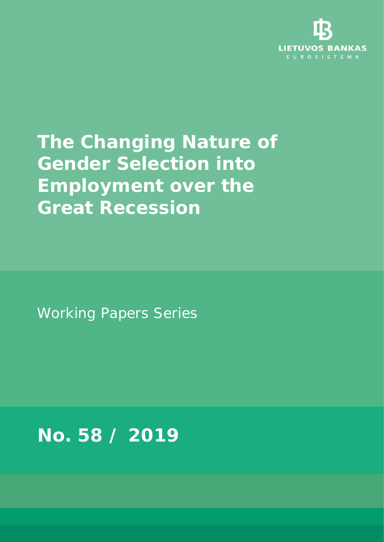

# **The Changing Nature of Gender Selection into Employment over the Great Recession**

Working Papers Series

**No. 58 / 2019**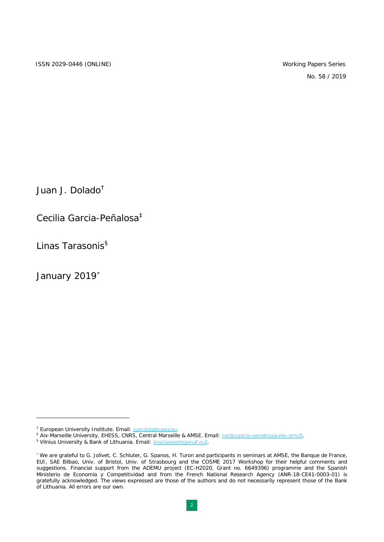No. 58 / 2019

Juan J. Dolado[†](#page-1-0)

Cecilia Garcia-Peñalosa[‡](#page-1-1)

Linas Tarasonis<sup>[§](#page-1-2)</sup>

January 2019<sup>\*</sup>

<span id="page-1-1"></span><span id="page-1-0"></span><sup>&</sup>lt;sup>†</sup> European University Institute. Email: juan.dolado@eui.eu.<br><sup>‡</sup> Aix-Marseille University, EHESS, CNRS, Central Marseille & AMSE. Email: <u>cecilia.garcia-penalosa@univ-amu.fr</u>.<br><sup>§</sup> Vilnius University & Bank of Lithuania. E

<span id="page-1-2"></span>

<span id="page-1-3"></span><sup>∗</sup> We are grateful to G. Jolivet, C. Schluter, G. Spanos, H. Turon and participants in seminars at AMSE, the Banque de France, EUI, SAE Bilbao, Univ. of Bristol, Univ. of Strasbourg and the COSME 2017 Workshop for their helpful comments and suggestions. Financial support from the ADEMU project (EC-H2020, Grant no. 6649396) programme and the Spanish Ministerio de Economía y Competitividad and from the French National Research Agency (ANR-18-CE41-0003-01) is gratefully acknowledged. The views expressed are those of the authors and do not necessarily represent those of the Bank of Lithuania. All errors are our own.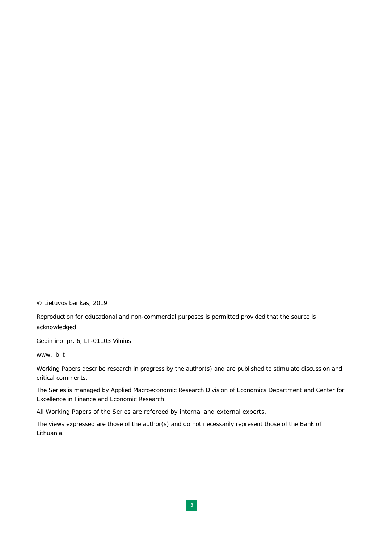© Lietuvos bankas, 2019

Reproduction for educational and non-commercial purposes is permitted provided that the source is acknowledged

Gedimino pr. 6, LT-01103 Vilnius

www. lb.lt

Working Papers describe research in progress by the author(s) and are published to stimulate discussion and critical comments.

The Series is managed by Applied Macroeconomic Research Division of Economics Department and Center for Excellence in Finance and Economic Research.

All Working Papers of the Series are refereed by internal and external experts.

The views expressed are those of the author(s) and do not necessarily represent those of the Bank of Lithuania.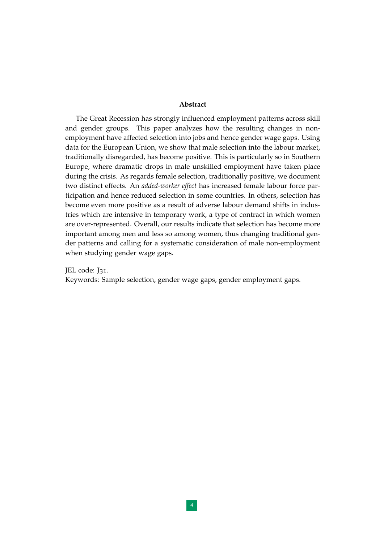#### **Abstract**

The Great Recession has strongly influenced employment patterns across skill and gender groups. This paper analyzes how the resulting changes in nonemployment have affected selection into jobs and hence gender wage gaps. Using data for the European Union, we show that male selection into the labour market, traditionally disregarded, has become positive. This is particularly so in Southern Europe, where dramatic drops in male unskilled employment have taken place during the crisis. As regards female selection, traditionally positive, we document two distinct effects. An *added-worker effect* has increased female labour force participation and hence reduced selection in some countries. In others, selection has become even more positive as a result of adverse labour demand shifts in industries which are intensive in temporary work, a type of contract in which women are over-represented. Overall, our results indicate that selection has become more important among men and less so among women, thus changing traditional gender patterns and calling for a systematic consideration of male non-employment when studying gender wage gaps.

JEL code: J31.

Keywords: Sample selection, gender wage gaps, gender employment gaps.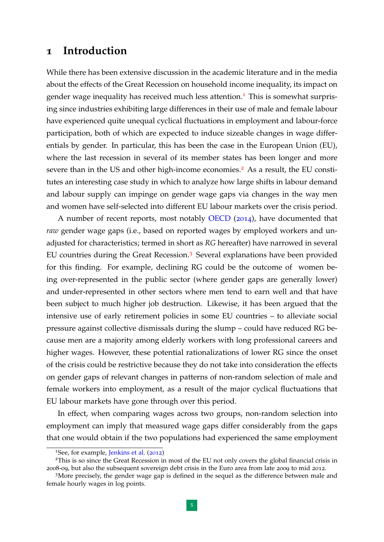### **1 Introduction**

While there has been extensive discussion in the academic literature and in the media about the effects of the Great Recession on household income inequality, its impact on gender wage inequality has received much less attention.<sup>[1](#page-4-0)</sup> This is somewhat surprising since industries exhibiting large differences in their use of male and female labour have experienced quite unequal cyclical fluctuations in employment and labour-force participation, both of which are expected to induce sizeable changes in wage differentials by gender. In particular, this has been the case in the European Union (EU), where the last recession in several of its member states has been longer and more severe than in the US and other high-income economies.<sup>[2](#page-4-1)</sup> As a result, the EU constitutes an interesting case study in which to analyze how large shifts in labour demand and labour supply can impinge on gender wage gaps via changes in the way men and women have self-selected into different EU labour markets over the crisis period.

A number of recent reports, most notably [OECD](#page-35-0) ([2014](#page-35-0)), have documented that *raw* gender wage gaps (i.e., based on reported wages by employed workers and unadjusted for characteristics; termed in short as *RG* hereafter) have narrowed in several EU countries during the Great Recession.[3](#page-4-2) Several explanations have been provided for this finding. For example, declining RG could be the outcome of women being over-represented in the public sector (where gender gaps are generally lower) and under-represented in other sectors where men tend to earn well and that have been subject to much higher job destruction. Likewise, it has been argued that the intensive use of early retirement policies in some EU countries – to alleviate social pressure against collective dismissals during the slump – could have reduced RG because men are a majority among elderly workers with long professional careers and higher wages. However, these potential rationalizations of lower RG since the onset of the crisis could be restrictive because they do not take into consideration the effects on gender gaps of relevant changes in patterns of non-random selection of male and female workers into employment, as a result of the major cyclical fluctuations that EU labour markets have gone through over this period.

In effect, when comparing wages across two groups, non-random selection into employment can imply that measured wage gaps differ considerably from the gaps that one would obtain if the two populations had experienced the same employment

<span id="page-4-1"></span><span id="page-4-0"></span><sup>1</sup>See, for example, [Jenkins et al.](#page-35-1) ([2012](#page-35-1))

<sup>&</sup>lt;sup>2</sup>This is so since the Great Recession in most of the EU not only covers the global financial crisis in 2008-09, but also the subsequent sovereign debt crisis in the Euro area from late 2009 to mid 2012.

<span id="page-4-2"></span><sup>&</sup>lt;sup>3</sup>More precisely, the gender wage gap is defined in the sequel as the difference between male and female hourly wages in log points.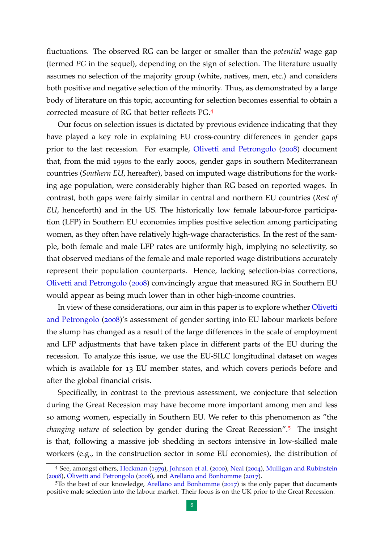fluctuations. The observed RG can be larger or smaller than the *potential* wage gap (termed *PG* in the sequel), depending on the sign of selection. The literature usually assumes no selection of the majority group (white, natives, men, etc.) and considers both positive and negative selection of the minority. Thus, as demonstrated by a large body of literature on this topic, accounting for selection becomes essential to obtain a corrected measure of RG that better reflects PG.[4](#page-5-0)

Our focus on selection issues is dictated by previous evidence indicating that they have played a key role in explaining EU cross-country differences in gender gaps prior to the last recession. For example, [Olivetti and Petrongolo](#page-35-2) ([2008](#page-35-2)) document that, from the mid 1990s to the early 2000s, gender gaps in southern Mediterranean countries (*Southern EU*, hereafter), based on imputed wage distributions for the working age population, were considerably higher than RG based on reported wages. In contrast, both gaps were fairly similar in central and northern EU countries (*Rest of EU*, henceforth) and in the US. The historically low female labour-force participation (LFP) in Southern EU economies implies positive selection among participating women, as they often have relatively high-wage characteristics. In the rest of the sample, both female and male LFP rates are uniformly high, implying no selectivity, so that observed medians of the female and male reported wage distributions accurately represent their population counterparts. Hence, lacking selection-bias corrections, [Olivetti and Petrongolo](#page-35-2) ([2008](#page-35-2)) convincingly argue that measured RG in Southern EU would appear as being much lower than in other high-income countries.

In view of these considerations, our aim in this paper is to explore whether [Olivetti](#page-35-2) [and Petrongolo](#page-35-2) ([2008](#page-35-2))'s assessment of gender sorting into EU labour markets before the slump has changed as a result of the large differences in the scale of employment and LFP adjustments that have taken place in different parts of the EU during the recession. To analyze this issue, we use the EU-SILC longitudinal dataset on wages which is available for 13 EU member states, and which covers periods before and after the global financial crisis.

Specifically, in contrast to the previous assessment, we conjecture that selection during the Great Recession may have become more important among men and less so among women, especially in Southern EU. We refer to this phenomenon as "the *changing nature* of selection by gender during the Great Recession".[5](#page-5-1) The insight is that, following a massive job shedding in sectors intensive in low-skilled male workers (e.g., in the construction sector in some EU economies), the distribution of

<span id="page-5-0"></span><sup>4</sup> See, amongst others, [Heckman](#page-35-3) ([1979](#page-35-3)), [Johnson et al.](#page-35-4) ([2000](#page-35-4)), [Neal](#page-35-5) ([2004](#page-35-5)), [Mulligan and Rubinstein](#page-35-6) ([2008](#page-35-6)), [Olivetti and Petrongolo](#page-35-2) ([2008](#page-35-2)), and [Arellano and Bonhomme](#page-34-0) ([2017](#page-34-0)).

<span id="page-5-1"></span><sup>5</sup>To the best of our knowledge, [Arellano and Bonhomme](#page-34-0) ([2017](#page-34-0)) is the only paper that documents positive male selection into the labour market. Their focus is on the UK prior to the Great Recession.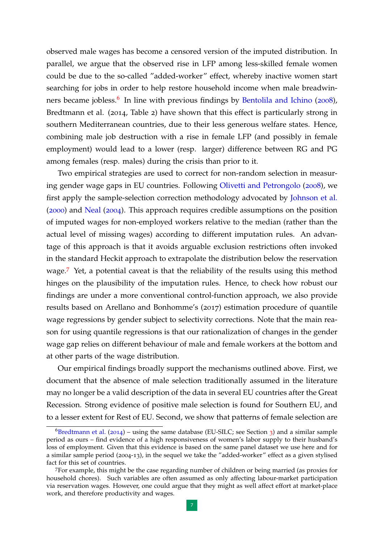observed male wages has become a censored version of the imputed distribution. In parallel, we argue that the observed rise in LFP among less-skilled female women could be due to the so-called "added-worker" effect, whereby inactive women start searching for jobs in order to help restore household income when male breadwin-ners became jobless.<sup>[6](#page-6-0)</sup> In line with previous findings by [Bentolila and Ichino](#page-34-1) ([2008](#page-34-1)), Bredtmann et al. (2014, Table 2) have shown that this effect is particularly strong in southern Mediterranean countries, due to their less generous welfare states. Hence, combining male job destruction with a rise in female LFP (and possibly in female employment) would lead to a lower (resp. larger) difference between RG and PG among females (resp. males) during the crisis than prior to it.

Two empirical strategies are used to correct for non-random selection in measuring gender wage gaps in EU countries. Following [Olivetti and Petrongolo](#page-35-2) ([2008](#page-35-2)), we first apply the sample-selection correction methodology advocated by [Johnson et al.](#page-35-4) ([2000](#page-35-4)) and [Neal](#page-35-5) ([2004](#page-35-5)). This approach requires credible assumptions on the position of imputed wages for non-employed workers relative to the median (rather than the actual level of missing wages) according to different imputation rules. An advantage of this approach is that it avoids arguable exclusion restrictions often invoked in the standard Heckit approach to extrapolate the distribution below the reservation wage.[7](#page-6-1) Yet, a potential caveat is that the reliability of the results using this method hinges on the plausibility of the imputation rules. Hence, to check how robust our findings are under a more conventional control-function approach, we also provide results based on Arellano and Bonhomme's (2017) estimation procedure of quantile wage regressions by gender subject to selectivity corrections. Note that the main reason for using quantile regressions is that our rationalization of changes in the gender wage gap relies on different behaviour of male and female workers at the bottom and at other parts of the wage distribution.

Our empirical findings broadly support the mechanisms outlined above. First, we document that the absence of male selection traditionally assumed in the literature may no longer be a valid description of the data in several EU countries after the Great Recession. Strong evidence of positive male selection is found for Southern EU, and to a lesser extent for Rest of EU. Second, we show that patterns of female selection are

<span id="page-6-0"></span> ${}^{6}$ [Bredtmann et al.](#page-34-2) ([2014](#page-34-2)) – using the same database (EU-SILC; see Section [3](#page-15-0)) and a similar sample period as ours – find evidence of a high responsiveness of women's labor supply to their husband's loss of employment. Given that this evidence is based on the same panel dataset we use here and for a similar sample period (2004-13), in the sequel we take the "added-worker" effect as a given stylised fact for this set of countries.

<span id="page-6-1"></span><sup>7</sup>For example, this might be the case regarding number of children or being married (as proxies for household chores). Such variables are often assumed as only affecting labour-market participation via reservation wages. However, one could argue that they might as well affect effort at market-place work, and therefore productivity and wages.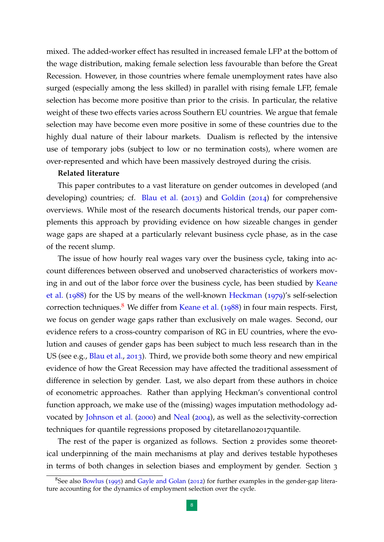mixed. The added-worker effect has resulted in increased female LFP at the bottom of the wage distribution, making female selection less favourable than before the Great Recession. However, in those countries where female unemployment rates have also surged (especially among the less skilled) in parallel with rising female LFP, female selection has become more positive than prior to the crisis. In particular, the relative weight of these two effects varies across Southern EU countries. We argue that female selection may have become even more positive in some of these countries due to the highly dual nature of their labour markets. Dualism is reflected by the intensive use of temporary jobs (subject to low or no termination costs), where women are over-represented and which have been massively destroyed during the crisis.

#### **Related literature**

This paper contributes to a vast literature on gender outcomes in developed (and developing) countries; cf. [Blau et al.](#page-34-3) ([2013](#page-34-3)) and [Goldin](#page-35-7) ([2014](#page-35-7)) for comprehensive overviews. While most of the research documents historical trends, our paper complements this approach by providing evidence on how sizeable changes in gender wage gaps are shaped at a particularly relevant business cycle phase, as in the case of the recent slump.

The issue of how hourly real wages vary over the business cycle, taking into account differences between observed and unobserved characteristics of workers moving in and out of the labor force over the business cycle, has been studied by [Keane](#page-35-8) [et al.](#page-35-8) ([1988](#page-35-8)) for the US by means of the well-known [Heckman](#page-35-3) ([1979](#page-35-3))'s self-selection correction techniques.<sup>[8](#page-7-0)</sup> We differ from [Keane et al.](#page-35-8) ([1988](#page-35-8)) in four main respects. First, we focus on gender wage gaps rather than exclusively on male wages. Second, our evidence refers to a cross-country comparison of RG in EU countries, where the evolution and causes of gender gaps has been subject to much less research than in the US (see e.g., [Blau et al.,](#page-34-3) [2013](#page-34-3)). Third, we provide both some theory and new empirical evidence of how the Great Recession may have affected the traditional assessment of difference in selection by gender. Last, we also depart from these authors in choice of econometric approaches. Rather than applying Heckman's conventional control function approach, we make use of the (missing) wages imputation methodology advocated by [Johnson et al.](#page-35-4) ([2000](#page-35-4)) and [Neal](#page-35-5) ([2004](#page-35-5)), as well as the selectivity-correction techniques for quantile regressions proposed by citetarellano2017quantile.

The rest of the paper is organized as follows. Section 2 provides some theoretical underpinning of the main mechanisms at play and derives testable hypotheses in terms of both changes in selection biases and employment by gender. Section 3

<span id="page-7-0"></span><sup>&</sup>lt;sup>8</sup>See also [Bowlus](#page-34-4) ([1995](#page-34-4)) and [Gayle and Golan](#page-34-5) ([2012](#page-34-5)) for further examples in the gender-gap literature accounting for the dynamics of employment selection over the cycle.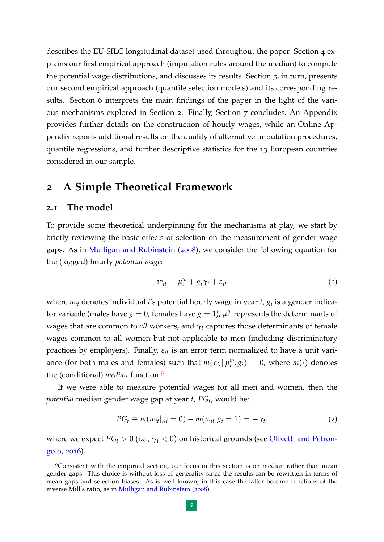describes the EU-SILC longitudinal dataset used throughout the paper. Section 4 explains our first empirical approach (imputation rules around the median) to compute the potential wage distributions, and discusses its results. Section 5, in turn, presents our second empirical approach (quantile selection models) and its corresponding results. Section 6 interprets the main findings of the paper in the light of the various mechanisms explored in Section 2. Finally, Section 7 concludes. An Appendix provides further details on the construction of hourly wages, while an Online Appendix reports additional results on the quality of alternative imputation procedures, quantile regressions, and further descriptive statistics for the 13 European countries considered in our sample.

# **2 A Simple Theoretical Framework**

#### **2.1 The model**

To provide some theoretical underpinning for the mechanisms at play, we start by briefly reviewing the basic effects of selection on the measurement of gender wage gaps. As in [Mulligan and Rubinstein](#page-35-6) ([2008](#page-35-6)), we consider the following equation for the (logged) hourly *potential wage*:

<span id="page-8-1"></span>
$$
w_{it} = \mu_t^w + g_i \gamma_t + \varepsilon_{it}
$$
 (1)

where *wit* denotes individual *i*'s potential hourly wage in year *t*, *g<sup>i</sup>* is a gender indicator variable (males have  $g = 0$ , females have  $g = 1$ ),  $\mu_t^w$  represents the determinants of wages that are common to *all* workers, and *γ<sup>t</sup>* captures those determinants of female wages common to all women but not applicable to men (including discriminatory practices by employers). Finally,  $\varepsilon_{it}$  is an error term normalized to have a unit variance (for both males and females) such that  $m(\varepsilon_{it} | \mu_t^w, g_i) = 0$ , where  $m(\cdot)$  denotes the (conditional) *median* function.[9](#page-8-0)

If we were able to measure potential wages for all men and women, then the *potential* median gender wage gap at year *t*, *PG<sup>t</sup>* , would be:

$$
PG_{t} \equiv m(w_{it}|g_{i}=0) - m(w_{it}|g_{i}=1) = -\gamma_{t}.
$$
 (2)

where we expect *PG<sup>t</sup>* > 0 (i.e., *γ<sup>t</sup>* < 0) on historical grounds (see [Olivetti and Petron](#page-35-9)[golo,](#page-35-9) [2016](#page-35-9)).

<span id="page-8-0"></span><sup>&</sup>lt;sup>9</sup>Consistent with the empirical section, our focus in this section is on median rather than mean gender gaps. This choice is without loss of generality since the results can be rewritten in terms of mean gaps and selection biases. As is well known, in this case the latter become functions of the inverse Mill's ratio, as in [Mulligan and Rubinstein](#page-35-6) ([2008](#page-35-6)).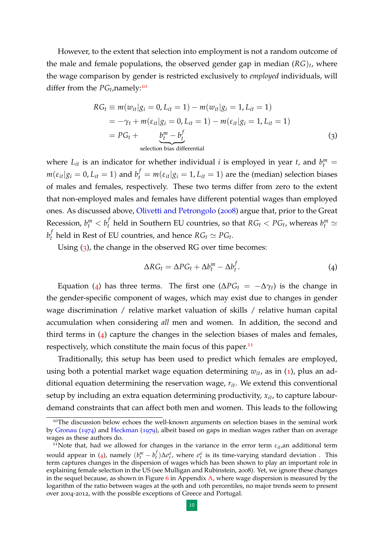However, to the extent that selection into employment is not a random outcome of the male and female populations, the observed gender gap in median (*RG*)*<sup>t</sup>* , where the wage comparison by gender is restricted exclusively to *employed* individuals, will differ from the  $PG_t$ , namely:<sup>[10](#page-9-0)</sup>

$$
RG_t \equiv m(w_{it}|g_i = 0, L_{it} = 1) - m(w_{it}|g_i = 1, L_{it} = 1)
$$
  
=  $-\gamma_t + m(\varepsilon_{it}|g_i = 0, L_{it} = 1) - m(\varepsilon_{it}|g_i = 1, L_{it} = 1)$   
=  $PG_t + \underbrace{b_t^m - b_t^f}_{\text{selection bias differential}}$  (3)

where  $L_{it}$  is an indicator for whether individual *i* is employed in year *t*, and  $b_t^m$  $m(\varepsilon_{it}|g_i=0,L_{it}=1)$  and  $b_t^f=m(\varepsilon_{it}|g_i=1,L_{it}=1)$  are the (median) selection biases of males and females, respectively. These two terms differ from zero to the extent that non-employed males and females have different potential wages than employed ones. As discussed above, [Olivetti and Petrongolo](#page-35-2) ([2008](#page-35-2)) argue that, prior to the Great Recession,  $b_t^m < b_t^f$  $t_t$  held in Southern EU countries, so that  $RG_t < PG_t$ , whereas  $b_t^m \simeq$ *b f*  $P_t$  held in Rest of EU countries, and hence  $RG_t \simeq PG_t$ .

Using ([3](#page-9-1)), the change in the observed RG over time becomes:

<span id="page-9-2"></span><span id="page-9-1"></span>
$$
\Delta RG_t = \Delta PG_t + \Delta b_t^m - \Delta b_t^f. \tag{4}
$$

Equation ([4](#page-9-2)) has three terms. The first one ( $\Delta PG_t = -\Delta \gamma_t$ ) is the change in the gender-specific component of wages, which may exist due to changes in gender wage discrimination / relative market valuation of skills / relative human capital accumulation when considering *all* men and women. In addition, the second and third terms in  $(4)$  $(4)$  $(4)$  capture the changes in the selection biases of males and females, respectively, which constitute the main focus of this paper.<sup>[11](#page-9-3)</sup>

Traditionally, this setup has been used to predict which females are employed, using both a potential market wage equation determining  $w_{it}$ , as in ([1](#page-8-1)), plus an additional equation determining the reservation wage, *rit*. We extend this conventional setup by including an extra equation determining productivity, *xit*, to capture labourdemand constraints that can affect both men and women. This leads to the following

<span id="page-9-0"></span><sup>&</sup>lt;sup>10</sup>The discussion below echoes the well-known arguments on selection biases in the seminal work by [Gronau](#page-35-10) ([1974](#page-35-10)) and [Heckman](#page-35-3) ([1979](#page-35-3)), albeit based on gaps in median wages rather than on average wages as these authors do.

<span id="page-9-3"></span><sup>&</sup>lt;sup>11</sup>Note that, had we allowed for changes in the variance in the error term  $\varepsilon_{it}$ , an additional term would appear in ([4](#page-9-2)), namely  $(b_t^m - b_t^f)$  $\sigma_t^f$ ) $\Delta \sigma_t^{\varepsilon}$ , where  $\sigma_t^{\varepsilon}$  is its time-varying standard deviation . This term captures changes in the dispersion of wages which has been shown to play an important role in explaining female selection in the US (see Mulligan and Rubinstein, 2008). Yet, we ignore these changes in the sequel because, as shown in Figure  $6$  in Appendix  $A$ , where wage dispersion is measured by the logarithm of the ratio between wages at the 90th and 10th percentiles, no major trends seem to present over 2004-2012, with the possible exceptions of Greece and Portugal.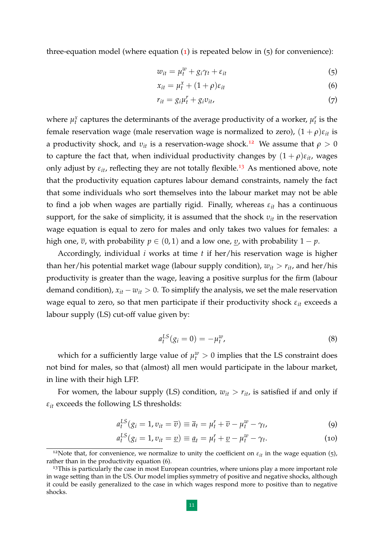three-equation model (where equation  $(1)$  $(1)$  $(1)$  is repeated below in  $(5)$  for convenience):

$$
w_{it} = \mu_t^w + g_i \gamma_t + \varepsilon_{it} \tag{5}
$$

$$
x_{it} = \mu_t^x + (1+\rho)\varepsilon_{it} \tag{6}
$$

$$
r_{it} = g_i \mu_t^r + g_i v_{it}, \tag{7}
$$

where  $\mu_t^x$  captures the determinants of the average productivity of a worker,  $\mu_t^r$  is the female reservation wage (male reservation wage is normalized to zero),  $(1 + \rho)\varepsilon_{it}$  is a productivity shock, and  $v_{it}$  is a reservation-wage shock.<sup>[12](#page-10-0)</sup> We assume that  $\rho > 0$ to capture the fact that, when individual productivity changes by  $(1 + \rho)\varepsilon_{it}$ , wages only adjust by  $\varepsilon_{it}$ , reflecting they are not totally flexible.<sup>[13](#page-10-1)</sup> As mentioned above, note that the productivity equation captures labour demand constraints, namely the fact that some individuals who sort themselves into the labour market may not be able to find a job when wages are partially rigid. Finally, whereas *εit* has a continuous support, for the sake of simplicity, it is assumed that the shock  $v_{it}$  in the reservation wage equation is equal to zero for males and only takes two values for females: a high one,  $\bar{v}$ , with probability  $p \in (0, 1)$  and a low one, <u>*υ*</u>, with probability  $1 - p$ .

Accordingly, individual *i* works at time *t* if her/his reservation wage is higher than her/his potential market wage (labour supply condition),  $w_{it} > r_{it}$ , and her/his productivity is greater than the wage, leaving a positive surplus for the firm (labour demand condition),  $x_{it} - w_{it} > 0$ . To simplify the analysis, we set the male reservation wage equal to zero, so that men participate if their productivity shock *εit* exceeds a labour supply (LS) cut-off value given by:

$$
a_t^{LS}(g_i = 0) = -\mu_t^w,
$$
\n(8)

which for a sufficiently large value of  $\mu_t^w > 0$  implies that the LS constraint does not bind for males, so that (almost) all men would participate in the labour market, in line with their high LFP.

For women, the labour supply (LS) condition,  $w_{it} > r_{it}$ , is satisfied if and only if  $\varepsilon_{it}$  exceeds the following LS thresholds:

$$
a_t^{LS}(g_i = 1, v_{it} = \overline{v}) \equiv \overline{a}_t = \mu_t^r + \overline{v} - \mu_t^w - \gamma_t,
$$
\n(9)

$$
a_t^{LS}(g_i = 1, v_{it} = \underline{v}) \equiv \underline{a}_t = \mu_t^r + \underline{v} - \mu_t^w - \gamma_t. \tag{10}
$$

<span id="page-10-0"></span><sup>&</sup>lt;sup>12</sup>Note that, for convenience, we normalize to unity the coefficient on  $\varepsilon_{it}$  in the wage equation (5), rather than in the productivity equation (6).

<span id="page-10-1"></span> $13$ This is particularly the case in most European countries, where unions play a more important role in wage setting than in the US. Our model implies symmetry of positive and negative shocks, although it could be easily generalized to the case in which wages respond more to positive than to negative shocks.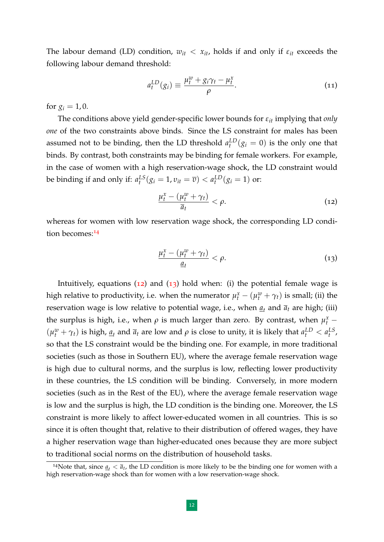The labour demand (LD) condition,  $w_{it} < x_{it}$ , holds if and only if  $\varepsilon_{it}$  exceeds the following labour demand threshold:

$$
a_t^{LD}(g_i) \equiv \frac{\mu_t^w + g_i \gamma_t - \mu_t^x}{\rho}.
$$
\n(11)

for  $g_i = 1, 0$ .

The conditions above yield gender-specific lower bounds for *εit* implying that *only one* of the two constraints above binds. Since the LS constraint for males has been assumed not to be binding, then the LD threshold  $a_t^{LD}(g_i = 0)$  is the only one that binds. By contrast, both constraints may be binding for female workers. For example, in the case of women with a high reservation-wage shock, the LD constraint would be binding if and only if:  $a_t^{LS}(g_i = 1, v_{it} = \overline{v}) < a_t^{LD}(g_i = 1)$  or:

<span id="page-11-1"></span>
$$
\frac{\mu_t^x - (\mu_t^w + \gamma_t)}{\overline{a}_t} < \rho. \tag{12}
$$

whereas for women with low reservation wage shock, the corresponding LD condi-tion becomes:<sup>[14](#page-11-0)</sup>

<span id="page-11-2"></span>
$$
\frac{\mu_t^x - (\mu_t^w + \gamma_t)}{\underline{a}_t} < \rho. \tag{13}
$$

Intuitively, equations  $(12)$  $(12)$  $(12)$  and  $(13)$  $(13)$  $(13)$  hold when: (i) the potential female wage is high relative to productivity, i.e. when the numerator  $\mu_t^x - (\mu_t^w + \gamma_t)$  is small; (ii) the reservation wage is low relative to potential wage, i.e., when  $\underline{a}_t$  and  $\overline{a}_t$  are high; (iii) the surplus is high, i.e., when  $\rho$  is much larger than zero. By contrast, when  $\mu_t^x$  –  $(\mu_t^w + \gamma_t)$  is high,  $\underline{a}_t$  and  $\overline{a}_t$  are low and  $\rho$  is close to unity, it is likely that  $a_t^{LD} < a_t^{LS}$ , so that the LS constraint would be the binding one. For example, in more traditional societies (such as those in Southern EU), where the average female reservation wage is high due to cultural norms, and the surplus is low, reflecting lower productivity in these countries, the LS condition will be binding. Conversely, in more modern societies (such as in the Rest of the EU), where the average female reservation wage is low and the surplus is high, the LD condition is the binding one. Moreover, the LS constraint is more likely to affect lower-educated women in all countries. This is so since it is often thought that, relative to their distribution of offered wages, they have a higher reservation wage than higher-educated ones because they are more subject to traditional social norms on the distribution of household tasks.

<span id="page-11-0"></span><sup>&</sup>lt;sup>14</sup>Note that, since  $\underline{a}_t < \overline{a}_t$ , the LD condition is more likely to be the binding one for women with a high reservation-wage shock than for women with a low reservation-wage shock.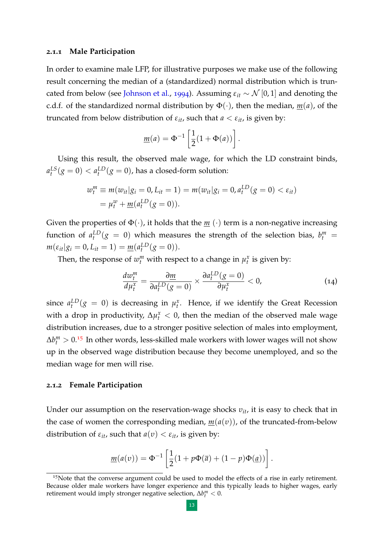#### **2.1.1 Male Participation**

In order to examine male LFP, for illustrative purposes we make use of the following result concerning the median of a (standardized) normal distribution which is trun-cated from below (see [Johnson et al.,](#page-35-11) [1994](#page-35-11)). Assuming  $\varepsilon_{it} \sim \mathcal{N}[0,1]$  and denoting the c.d.f. of the standardized normal distribution by  $\Phi(\cdot)$ , then the median,  $m(a)$ , of the truncated from below distribution of  $\varepsilon_{it}$ , such that  $a < \varepsilon_{it}$ , is given by:

$$
\underline{m}(a) = \Phi^{-1}\left[\frac{1}{2}(1+\Phi(a))\right].
$$

Using this result, the observed male wage, for which the LD constraint binds,  $a_t^{LS}(g=0) < a_t^{LD}(g=0)$ , has a closed-form solution:

$$
w_t^m \equiv m(w_{it}|g_i = 0, L_{it} = 1) = m(w_{it}|g_i = 0, a_t^{LD}(g = 0) < \varepsilon_{it})
$$
\n
$$
= \mu_t^w + \underline{m}(a_t^{LD}(g = 0)).
$$

Given the properties of  $\Phi(\cdot)$ , it holds that the  $\underline{m}(\cdot)$  term is a non-negative increasing function of  $a_t^{LD}(g = 0)$  which measures the strength of the selection bias,  $b_t^m =$  $m(\varepsilon_{it}|g_i = 0, L_{it} = 1) = \underline{m}(a_t^{LD}(g = 0)).$ 

Then, the response of  $w_t^m$  with respect to a change in  $\mu_t^x$  is given by:

$$
\frac{dw_t^m}{d\mu_t^x} = \frac{\partial \underline{m}}{\partial a_t^{LD}(g=0)} \times \frac{\partial a_t^{LD}(g=0)}{\partial \mu_t^x} < 0,\tag{14}
$$

since  $a_t^{LD}(g = 0)$  is decreasing in  $\mu_t^x$ . Hence, if we identify the Great Recession with a drop in productivity,  $\Delta \mu_t^x < 0$ , then the median of the observed male wage distribution increases, due to a stronger positive selection of males into employment,  $\Delta b_l^m > 0.15$  $\Delta b_l^m > 0.15$  In other words, less-skilled male workers with lower wages will not show up in the observed wage distribution because they become unemployed, and so the median wage for men will rise.

#### **2.1.2 Female Participation**

Under our assumption on the reservation-wage shocks *υit*, it is easy to check that in the case of women the corresponding median, *m*(*a*(*υ*)), of the truncated-from-below distribution of  $\varepsilon_{it}$ , such that  $a(v) < \varepsilon_{it}$ , is given by:

$$
\underline{m}(a(v)) = \Phi^{-1}\left[\frac{1}{2}(1 + p\Phi(\overline{a}) + (1 - p)\Phi(\underline{a}))\right].
$$

<span id="page-12-0"></span><sup>&</sup>lt;sup>15</sup>Note that the converse argument could be used to model the effects of a rise in early retirement. Because older male workers have longer experience and this typically leads to higher wages, early retirement would imply stronger negative selection,  $\Delta b_t^m < 0$ .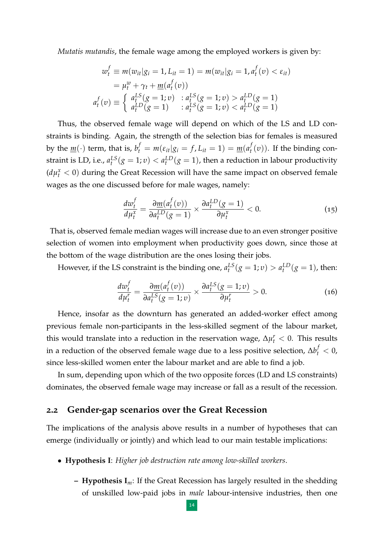*Mutatis mutandis*, the female wage among the employed workers is given by:

$$
w_t^f \equiv m(w_{it}|g_i = 1, L_{it} = 1) = m(w_{it}|g_i = 1, a_t^f(v) < \varepsilon_{it})
$$
\n
$$
= \mu_t^w + \gamma_t + \underline{m}(a_t^f(v))
$$
\n
$$
a_t^f(v) \equiv \begin{cases} a_t^{LS}(g = 1; v) & : a_t^{LS}(g = 1; v) > a_t^{LD}(g = 1) \\ a_t^{LD}(g = 1) & : a_t^{LS}(g = 1; v) < a_t^{LD}(g = 1) \end{cases}
$$

Thus, the observed female wage will depend on which of the LS and LD constraints is binding. Again, the strength of the selection bias for females is measured by the  $\underline{m}(\cdot)$  term, that is,  $b_t^f = m(\varepsilon_{it}|g_i = f, L_{it} = 1) = \underline{m}(a_t^f)$  $f_t(v)$ ). If the binding constraint is LD, i.e.,  $a_t^{LS}(g = 1; v) < a_t^{LD}(g = 1)$ , then a reduction in labour productivity  $(d\mu_t^x < 0)$  during the Great Recession will have the same impact on observed female wages as the one discussed before for male wages, namely:

$$
\frac{dw_t^f}{d\mu_t^x} = \frac{\partial \underline{m}(a_t^f(v))}{\partial a_t^{LD}(g=1)} \times \frac{\partial a_t^{LD}(g=1)}{\partial \mu_t^x} < 0. \tag{15}
$$

That is, observed female median wages will increase due to an even stronger positive selection of women into employment when productivity goes down, since those at the bottom of the wage distribution are the ones losing their jobs.

However, if the LS constraint is the binding one,  $a_t^{LS}(g = 1; v) > a_t^{LD}(g = 1)$ , then:

$$
\frac{dw_t^f}{d\mu_t^r} = \frac{\partial \underline{m}(a_t^f(v))}{\partial a_t^{LS}(g=1;v)} \times \frac{\partial a_t^{LS}(g=1;v)}{\partial \mu_t^r} > 0.
$$
\n(16)

Hence, insofar as the downturn has generated an added-worker effect among previous female non-participants in the less-skilled segment of the labour market, this would translate into a reduction in the reservation wage,  $\Delta \mu_t^r < 0$ . This results in a reduction of the observed female wage due to a less positive selection,  $\Delta b_t^f < 0$ , since less-skilled women enter the labour market and are able to find a job.

In sum, depending upon which of the two opposite forces (LD and LS constraints) dominates, the observed female wage may increase or fall as a result of the recession.

#### <span id="page-13-0"></span>**2.2 Gender-gap scenarios over the Great Recession**

The implications of the analysis above results in a number of hypotheses that can emerge (individually or jointly) and which lead to our main testable implications:

- **Hypothesis I**: *Higher job destruction rate among low-skilled workers*.
	- **Hypothesis I***m*: If the Great Recession has largely resulted in the shedding of unskilled low-paid jobs in *male* labour-intensive industries, then one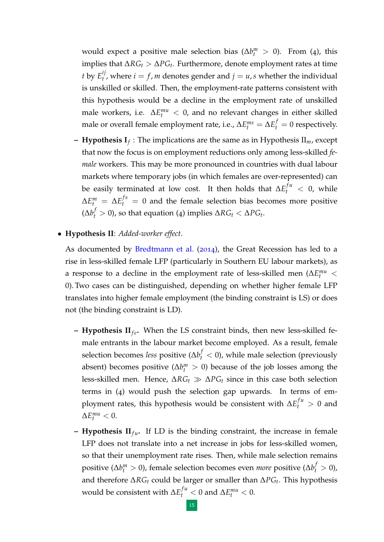would expect a positive male selection bias ( $\Delta b_t^m > 0$ ). From (4), this implies that ∆*RG<sup>t</sup>* > ∆*PG<sup>t</sup>* . Furthermore, denote employment rates at time *t* by  $E_t^{ij}$  $t'$ , where  $i = f$ , *m* denotes gender and  $j = u$ , *s* whether the individual is unskilled or skilled. Then, the employment-rate patterns consistent with this hypothesis would be a decline in the employment rate of unskilled male workers, i.e.  $\Delta E_t^{mu} < 0$ , and no relevant changes in either skilled male or overall female employment rate, i.e.,  $\Delta E_t^{ms} = \Delta E_t^f = 0$  respectively.

- **Hypothesis I***<sup>f</sup>* : The implications are the same as in Hypothesis II*m*, except that now the focus is on employment reductions only among less-skilled *female* workers. This may be more pronounced in countries with dual labour markets where temporary jobs (in which females are over-represented) can be easily terminated at low cost. It then holds that  $\Delta E_t^{fu} < 0$ , while  $\Delta E_t^m = \Delta E_t^{fs} = 0$  and the female selection bias becomes more positive  $(\Delta b_t^f > 0)$ , so that equation (4) implies  $\Delta RG_t < \DeltaPG_t$ .
- **Hypothesis II**: *Added-worker effect*.

As documented by [Bredtmann et al.](#page-34-2) ([2014](#page-34-2)), the Great Recession has led to a rise in less-skilled female LFP (particularly in Southern EU labour markets), as a response to a decline in the employment rate of less-skilled men ( $\Delta E_t^{mu}$  < 0). Two cases can be distinguished, depending on whether higher female LFP translates into higher female employment (the binding constraint is LS) or does not (the binding constraint is LD).

- **Hypothesis II**<sub>fe</sub>. When the LS constraint binds, then new less-skilled female entrants in the labour market become employed. As a result, female selection becomes *less* positive ( $\Delta b_t^f < 0$ ), while male selection (previously absent) becomes positive ( $\Delta b_t^m > 0$ ) because of the job losses among the less-skilled men. Hence,  $\Delta RG_t \gg \Delta PG_t$  since in this case both selection terms in (4) would push the selection gap upwards. In terms of employment rates, this hypothesis would be consistent with  $\Delta E_t^{fu} > 0$  and  $\Delta E_t^{mu} < 0.$
- **Hypothesis**  $II_{fu}$ **.** If LD is the binding constraint, the increase in female LFP does not translate into a net increase in jobs for less-skilled women, so that their unemployment rate rises. Then, while male selection remains positive ( $\Delta b_t^m > 0$ ), female selection becomes even *more* positive ( $\Delta b_t^f > 0$ ), and therefore ∆*RG<sup>t</sup>* could be larger or smaller than ∆*PG<sup>t</sup>* . This hypothesis would be consistent with  $\Delta E_t^{fu} < 0$  and  $\Delta E_t^{mu} < 0$ .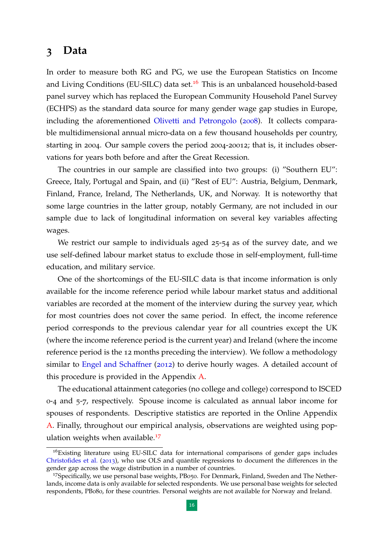# <span id="page-15-0"></span>**3 Data**

In order to measure both RG and PG, we use the European Statistics on Income and Living Conditions (EU-SILC) data set.<sup>[16](#page-15-1)</sup> This is an unbalanced household-based panel survey which has replaced the European Community Household Panel Survey (ECHPS) as the standard data source for many gender wage gap studies in Europe, including the aforementioned [Olivetti and Petrongolo](#page-35-2) ([2008](#page-35-2)). It collects comparable multidimensional annual micro-data on a few thousand households per country, starting in 2004. Our sample covers the period 2004-20012; that is, it includes observations for years both before and after the Great Recession.

The countries in our sample are classified into two groups: (i) "Southern EU": Greece, Italy, Portugal and Spain, and (ii) "Rest of EU": Austria, Belgium, Denmark, Finland, France, Ireland, The Netherlands, UK, and Norway. It is noteworthy that some large countries in the latter group, notably Germany, are not included in our sample due to lack of longitudinal information on several key variables affecting wages.

We restrict our sample to individuals aged 25-54 as of the survey date, and we use self-defined labour market status to exclude those in self-employment, full-time education, and military service.

One of the shortcomings of the EU-SILC data is that income information is only available for the income reference period while labour market status and additional variables are recorded at the moment of the interview during the survey year, which for most countries does not cover the same period. In effect, the income reference period corresponds to the previous calendar year for all countries except the UK (where the income reference period is the current year) and Ireland (where the income reference period is the 12 months preceding the interview). We follow a methodology similar to [Engel and Schaffner](#page-34-6) ([2012](#page-34-6)) to derive hourly wages. A detailed account of this procedure is provided in the Appendix [A.](#page-36-0)

The educational attainment categories (no college and college) correspond to ISCED 0-4 and 5-7, respectively. Spouse income is calculated as annual labor income for spouses of respondents. Descriptive statistics are reported in the Online Appendix [A.](#page-36-0) Finally, throughout our empirical analysis, observations are weighted using pop-ulation weights when available.<sup>[17](#page-15-2)</sup>

<span id="page-15-1"></span><sup>&</sup>lt;sup>16</sup>Existing literature using EU-SILC data for international comparisons of gender gaps includes [Christofides et al.](#page-34-7) ([2013](#page-34-7)), who use OLS and quantile regressions to document the differences in the gender gap across the wage distribution in a number of countries.

<span id="page-15-2"></span><sup>17</sup>Specifically, we use personal base weights, PB050. For Denmark, Finland, Sweden and The Netherlands, income data is only available for selected respondents. We use personal base weights for selected respondents, PB080, for these countries. Personal weights are not available for Norway and Ireland.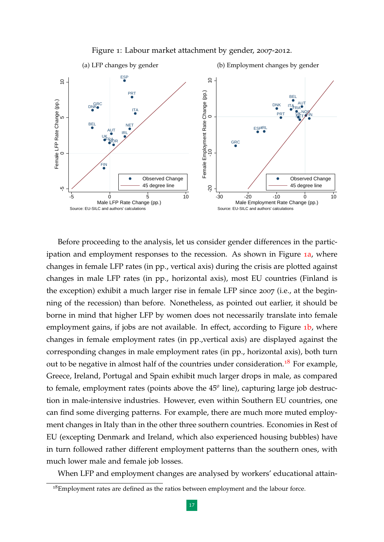<span id="page-16-1"></span>

<span id="page-16-0"></span>

Before proceeding to the analysis, let us consider gender differences in the participation and employment responses to the recession. As shown in Figure 1[a,](#page-16-0) where changes in female LFP rates (in pp., vertical axis) during the crisis are plotted against changes in male LFP rates (in pp., horizontal axis), most EU countries (Finland is the exception) exhibit a much larger rise in female LFP since 2007 (i.e., at the beginning of the recession) than before. Nonetheless, as pointed out earlier, it should be borne in mind that higher LFP by women does not necessarily translate into female employment gains, if jobs are not available. In effect, according to Figure 1[b,](#page-16-1) where changes in female employment rates (in pp.,vertical axis) are displayed against the corresponding changes in male employment rates (in pp., horizontal axis), both turn out to be negative in almost half of the countries under consideration.<sup>[18](#page-16-2)</sup> For example, Greece, Ireland, Portugal and Spain exhibit much larger drops in male, as compared to female, employment rates (points above the 45*<sup>o</sup>* line), capturing large job destruction in male-intensive industries. However, even within Southern EU countries, one can find some diverging patterns. For example, there are much more muted employment changes in Italy than in the other three southern countries. Economies in Rest of EU (excepting Denmark and Ireland, which also experienced housing bubbles) have in turn followed rather different employment patterns than the southern ones, with much lower male and female job losses.

When LFP and employment changes are analysed by workers' educational attain-

<span id="page-16-2"></span> $18$ Employment rates are defined as the ratios between employment and the labour force.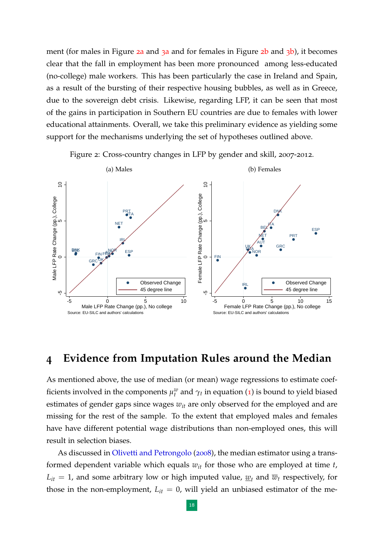ment (for m[a](#page-18-0)les in Figure  $2a$  and  $3a$  and for females in Figure  $2b$  $2b$  and  $3b$ ), it becomes clear that the fall in employment has been more pronounced among less-educated (no-college) male workers. This has been particularly the case in Ireland and Spain, as a result of the bursting of their respective housing bubbles, as well as in Greece, due to the sovereign debt crisis. Likewise, regarding LFP, it can be seen that most of the gains in participation in Southern EU countries are due to females with lower educational attainments. Overall, we take this preliminary evidence as yielding some support for the mechanisms underlying the set of hypotheses outlined above.

<span id="page-17-1"></span>Figure 2: Cross-country changes in LFP by gender and skill, 2007-2012.

<span id="page-17-2"></span><span id="page-17-0"></span>

# **4 Evidence from Imputation Rules around the Median**

As mentioned above, the use of median (or mean) wage regressions to estimate coefficients involved in the components  $\mu_t^w$  and  $\gamma_t$  in equation ([1](#page-8-1)) is bound to yield biased estimates of gender gaps since wages *wit* are only observed for the employed and are missing for the rest of the sample. To the extent that employed males and females have have different potential wage distributions than non-employed ones, this will result in selection biases.

As discussed in [Olivetti and Petrongolo](#page-35-2) ([2008](#page-35-2)), the median estimator using a transformed dependent variable which equals *wit* for those who are employed at time *t*,  $L_{it} = 1$ , and some arbitrary low or high imputed value,  $w_t$  and  $\overline{w}_t$  respectively, for those in the non-employment,  $L_{it} = 0$ , will yield an unbiased estimator of the me-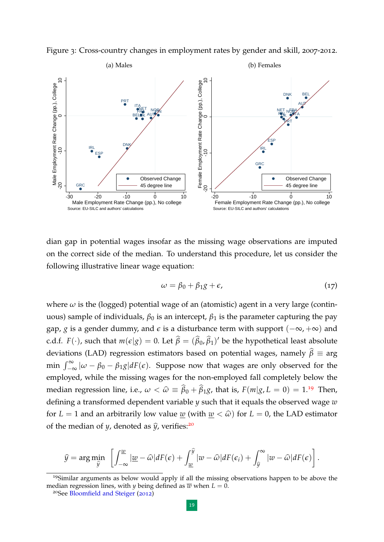<span id="page-18-0"></span>

<span id="page-18-4"></span><span id="page-18-1"></span>Figure 3: Cross-country changes in employment rates by gender and skill, 2007-2012.

dian gap in potential wages insofar as the missing wage observations are imputed on the correct side of the median. To understand this procedure, let us consider the following illustrative linear wage equation:

$$
\omega = \beta_0 + \beta_1 g + \epsilon, \tag{17}
$$

where  $\omega$  is the (logged) potential wage of an (atomistic) agent in a very large (continuous) sample of individuals,  $\beta_0$  is an intercept,  $\beta_1$  is the parameter capturing the pay gap, *g* is a gender dummy, and  $\epsilon$  is a disturbance term with support  $(-\infty, +\infty)$  and c.d.f.  $F(\cdot)$ , such that  $m(\epsilon|g) = 0$ . Let  $\widehat{\beta} = (\widehat{\beta}_0, \widehat{\beta}_1)'$  be the hypothetical least absolute deviations (LAD) regression estimators based on potential wages, namely  $\hat{\beta} \equiv \arg \hat{\beta}$ min  $\int_{-\infty}^{\infty} |\omega - \beta_0 - \beta_1 g| dF(\epsilon)$ . Suppose now that wages are only observed for the employed, while the missing wages for the non-employed fall completely below the median regression line, i.e.,  $\omega < \hat{\omega} \equiv \hat{\beta}_0 + \hat{\beta}_1 g$ , that is,  $F(m|g, L = 0) = 1.19$  $F(m|g, L = 0) = 1.19$  Then, defining a transformed dependent variable *y* such that it equals the observed wage *w* for  $L = 1$  and an arbitrarily low value <u>w</u> (with  $w < \hat{\omega}$ ) for  $L = 0$ , the LAD estimator of the median of *y*, denoted as  $\hat{y}$ , verifies:<sup>[20](#page-18-3)</sup>

$$
\widehat{y} = \arg\min_{\widehat{y}} \left[ \int_{-\infty}^{\underline{w}} \left| \underline{w} - \widehat{\omega} \right| dF(\epsilon) + \int_{\underline{w}}^{\widehat{y}} \left| w - \widehat{\omega} \right| dF(\epsilon_i) + \int_{\widehat{y}}^{\infty} \left| w - \widehat{\omega} \right| dF(\epsilon) \right].
$$

<span id="page-18-2"></span><sup>19</sup>Similar arguments as below would apply if all the missing observations happen to be above the median regression lines, with *y* being defined as  $\overline{w}$  when  $L = 0$ .

<span id="page-18-3"></span><sup>20</sup>See [Bloomfield and Steiger](#page-34-8) ([2012](#page-34-8))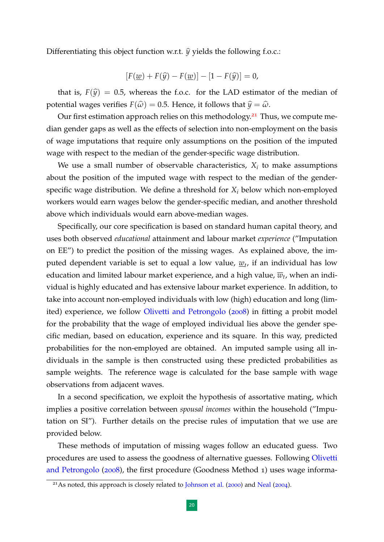Differentiating this object function w.r.t.  $\hat{y}$  yields the following f.o.c.:

$$
[F(\underline{w}) + F(\widehat{y}) - F(\underline{w})] - [1 - F(\widehat{y})] = 0,
$$

that is,  $F(\hat{y}) = 0.5$ , whereas the f.o.c. for the LAD estimator of the median of potential wages verifies  $F(\hat{\omega}) = 0.5$ . Hence, it follows that  $\hat{y} = \hat{\omega}$ .

Our first estimation approach relies on this methodology.<sup>[21](#page-19-0)</sup> Thus, we compute median gender gaps as well as the effects of selection into non-employment on the basis of wage imputations that require only assumptions on the position of the imputed wage with respect to the median of the gender-specific wage distribution.

We use a small number of observable characteristics, *X<sup>i</sup>* to make assumptions about the position of the imputed wage with respect to the median of the genderspecific wage distribution. We define a threshold for *X<sup>i</sup>* below which non-employed workers would earn wages below the gender-specific median, and another threshold above which individuals would earn above-median wages.

Specifically, our core specification is based on standard human capital theory, and uses both observed *educational* attainment and labour market *experience* ("Imputation on EE") to predict the position of the missing wages. As explained above, the imputed dependent variable is set to equal a low value, *w<sup>t</sup>* , if an individual has low education and limited labour market experience, and a high value,  $\overline{w}_t$ , when an individual is highly educated and has extensive labour market experience. In addition, to take into account non-employed individuals with low (high) education and long (limited) experience, we follow [Olivetti and Petrongolo](#page-35-2) ([2008](#page-35-2)) in fitting a probit model for the probability that the wage of employed individual lies above the gender specific median, based on education, experience and its square. In this way, predicted probabilities for the non-employed are obtained. An imputed sample using all individuals in the sample is then constructed using these predicted probabilities as sample weights. The reference wage is calculated for the base sample with wage observations from adjacent waves.

In a second specification, we exploit the hypothesis of assortative mating, which implies a positive correlation between *spousal incomes* within the household ("Imputation on SI"). Further details on the precise rules of imputation that we use are provided below.

These methods of imputation of missing wages follow an educated guess. Two procedures are used to assess the goodness of alternative guesses. Following [Olivetti](#page-35-2) [and Petrongolo](#page-35-2) ([2008](#page-35-2)), the first procedure (Goodness Method 1) uses wage informa-

<span id="page-19-0"></span><sup>&</sup>lt;sup>21</sup>As noted, this approach is closely related to [Johnson et al.](#page-35-4) ([2000](#page-35-4)) and [Neal](#page-35-5) ([2004](#page-35-5)).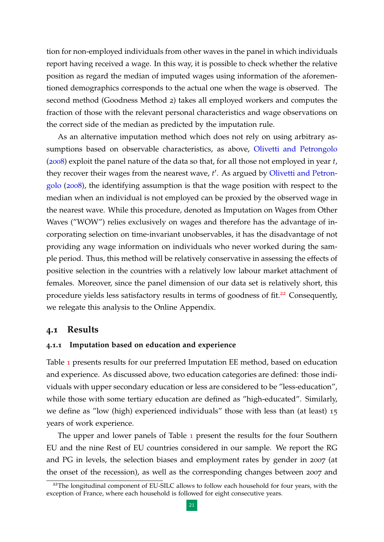tion for non-employed individuals from other waves in the panel in which individuals report having received a wage. In this way, it is possible to check whether the relative position as regard the median of imputed wages using information of the aforementioned demographics corresponds to the actual one when the wage is observed. The second method (Goodness Method 2) takes all employed workers and computes the fraction of those with the relevant personal characteristics and wage observations on the correct side of the median as predicted by the imputation rule.

As an alternative imputation method which does not rely on using arbitrary assumptions based on observable characteristics, as above, [Olivetti and Petrongolo](#page-35-2) ([2008](#page-35-2)) exploit the panel nature of the data so that, for all those not employed in year *t*, they recover their wages from the nearest wave, *t'*. As argued by [Olivetti and Petron](#page-35-2)[golo](#page-35-2) ([2008](#page-35-2)), the identifying assumption is that the wage position with respect to the median when an individual is not employed can be proxied by the observed wage in the nearest wave. While this procedure, denoted as Imputation on Wages from Other Waves ("WOW") relies exclusively on wages and therefore has the advantage of incorporating selection on time-invariant unobservables, it has the disadvantage of not providing any wage information on individuals who never worked during the sample period. Thus, this method will be relatively conservative in assessing the effects of positive selection in the countries with a relatively low labour market attachment of females. Moreover, since the panel dimension of our data set is relatively short, this procedure yields less satisfactory results in terms of goodness of fit.<sup>[22](#page-20-0)</sup> Consequently, we relegate this analysis to the Online Appendix.

#### <span id="page-20-1"></span>**4.1 Results**

#### **4.1.1 Imputation based on education and experience**

Table [1](#page-21-0) presents results for our preferred Imputation EE method, based on education and experience. As discussed above, two education categories are defined: those individuals with upper secondary education or less are considered to be "less-education", while those with some tertiary education are defined as "high-educated". Similarly, we define as "low (high) experienced individuals" those with less than (at least) 15 years of work experience.

The upper and lower panels of Table  $\bf{1}$  $\bf{1}$  $\bf{1}$  present the results for the four Southern EU and the nine Rest of EU countries considered in our sample. We report the RG and PG in levels, the selection biases and employment rates by gender in 2007 (at the onset of the recession), as well as the corresponding changes between 2007 and

<span id="page-20-0"></span><sup>&</sup>lt;sup>22</sup>The longitudinal component of EU-SILC allows to follow each household for four years, with the exception of France, where each household is followed for eight consecutive years.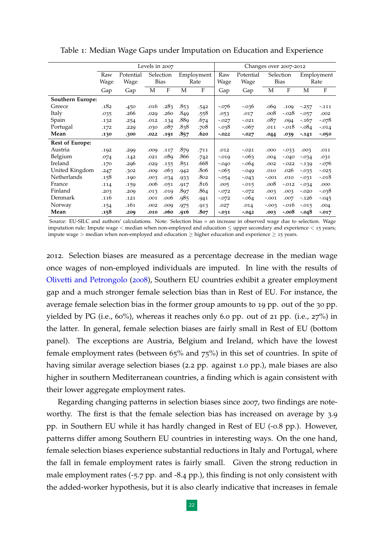|                        | Levels in 2007 |           |           |             |            |      |          | Changes over 2007-2012 |           |             |            |          |  |  |
|------------------------|----------------|-----------|-----------|-------------|------------|------|----------|------------------------|-----------|-------------|------------|----------|--|--|
|                        | Raw            | Potential | Selection |             | Employment |      | Raw      | Potential              | Selection |             | Employment |          |  |  |
|                        | Wage           | Wage      |           | <b>Bias</b> |            | Rate | Wage     | Wage                   |           | <b>Bias</b> |            | Rate     |  |  |
|                        | Gap            | Gap       | М         | F           | М          | F    | Gap      | Gap                    | М         | F           | М          | F        |  |  |
| Southern Europe:       |                |           |           |             |            |      |          |                        |           |             |            |          |  |  |
| Greece                 | .182           | .450      | .016      | .283        | .853       | .542 | $-.076$  | $-0.036$               | .069      | .109        | $-0.257$   | $-.111$  |  |  |
| Italy                  | .035           | .266      | .029      | .260        | .849       | .558 | .053     | .017                   | .008      | $-.028$     | $-0.057$   | .002     |  |  |
| Spain                  | .132           | .254      | .012      | .134        | .88q       | .674 | $-.027$  | $-.021$                | .087      | .094        | $-167$     | $-.078$  |  |  |
| Portugal               | .172           | .229      | .030      | .087        | .838       | .708 | $-0.038$ | $-.067$                | .011      | $-.018$     | -.084      | $-.014$  |  |  |
| Mean                   | .130           | .300      | .022      | .191        | .857       | .620 | $-0.022$ | $-0.027$               | .044      | .039        | $-141$     | $-0.050$ |  |  |
| <b>Rest of Europe:</b> |                |           |           |             |            |      |          |                        |           |             |            |          |  |  |
| Austria                | .192           | .299      | .009      | .117        | .879       | .711 | .012     | $-.021$                | .000      | $-0.033$    | .003       | .011     |  |  |
| Belgium                | .074           | .142      | .021      | .089        | .866       | .742 | $-0.019$ | $-0.063$               | .004      | $-.040$     | $-0.034$   | .031     |  |  |
| Ireland                | .170           | .296      | .029      | .155        | .851       | .668 | $-.040$  | $-.064$                | .002      | $-.022$     | $-139$     | $-.076$  |  |  |
| United Kingdom         | .247           | .302      | .009      | .063        | .942       | .806 | $-0.065$ | $-.049$                | .010      | .026        | $-0.035$   | $-0.025$ |  |  |
| Netherlands            | .158           | .190      | .003      | .034        | .933       | .802 | $-0.054$ | $-0.043$               | $-.001$   | .010        | $-0.031$   | $-.018$  |  |  |
| France                 | .114           | .159      | .006      | .051        | .917       | .816 | .005     | $-0.015$               | .008      | $-.012$     | $-0.034$   | .000     |  |  |
| Finland                | .203           | .209      | .013      | .019        | .897       | .864 | $-.072$  | $-.072$                | .003      | .003        | $-.020$    | -.038    |  |  |
| Denmark                | .116           | .121      | .001      | .006        | .985       | .941 | $-.072$  | $-.064$                | $-.001$   | .007        | $-.126$    | $-0.045$ |  |  |
| Norway                 | .154           | .161      | .002      | .009        | .975       | .913 | .027     | .014                   | $-0.003$  | $-.016$     | $-015$     | .004     |  |  |
| Mean                   | .158           | .209      | .010      | .060        | .916       | .807 | $-0.031$ | $-0.042$               | .003      | $-.008$     | -.048      | $-0.017$ |  |  |

<span id="page-21-0"></span>Table 1: Median Wage Gaps under Imputation on Education and Experience

Source: EU-SILC and authors' calculations. Note: Selection bias = an increase in observed wage due to selection. Wage imputation rule: Impute wage < median when non-employed and education ≤ upper secondary and experience < 15 years; impute wage > median when non-employed and education  $\geq$  higher education and experience  $\geq$  15 years.

2012. Selection biases are measured as a percentage decrease in the median wage once wages of non-employed individuals are imputed. In line with the results of [Olivetti and Petrongolo](#page-35-2) ([2008](#page-35-2)), Southern EU countries exhibit a greater employment gap and a much stronger female selection bias than in Rest of EU. For instance, the average female selection bias in the former group amounts to 19 pp. out of the 30 pp. yielded by PG (i.e., 60%), whereas it reaches only 6.0 pp. out of 21 pp. (i.e., 27%) in the latter. In general, female selection biases are fairly small in Rest of EU (bottom panel). The exceptions are Austria, Belgium and Ireland, which have the lowest female employment rates (between 65% and 75%) in this set of countries. In spite of having similar average selection biases (2.2 pp. against 1.0 pp.), male biases are also higher in southern Mediterranean countries, a finding which is again consistent with their lower aggregate employment rates.

Regarding changing patterns in selection biases since 2007, two findings are noteworthy. The first is that the female selection bias has increased on average by 3.9 pp. in Southern EU while it has hardly changed in Rest of EU (-0.8 pp.). However, patterns differ among Southern EU countries in interesting ways. On the one hand, female selection biases experience substantial reductions in Italy and Portugal, where the fall in female employment rates is fairly small. Given the strong reduction in male employment rates (-5.7 pp. and -8.4 pp.), this finding is not only consistent with the added-worker hypothesis, but it is also clearly indicative that increases in female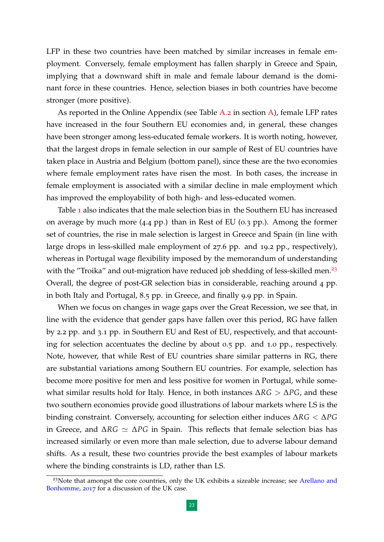LFP in these two countries have been matched by similar increases in female employment. Conversely, female employment has fallen sharply in Greece and Spain, implying that a downward shift in male and female labour demand is the dominant force in these countries. Hence, selection biases in both countries have become stronger (more positive).

As reported in the Online Appendix (see Table  $A.2$  $A.2$  in section  $A$ ), female LFP rates have increased in the four Southern EU economies and, in general, these changes have been stronger among less-educated female workers. It is worth noting, however, that the largest drops in female selection in our sample of Rest of EU countries have taken place in Austria and Belgium (bottom panel), since these are the two economies where female employment rates have risen the most. In both cases, the increase in female employment is associated with a similar decline in male employment which has improved the employability of both high- and less-educated women.

Table [1](#page-21-0) also indicates that the male selection bias in the Southern EU has increased on average by much more (4.4 pp.) than in Rest of EU (0.3 pp.). Among the former set of countries, the rise in male selection is largest in Greece and Spain (in line with large drops in less-skilled male employment of 27.6 pp. and 19.2 pp., respectively), whereas in Portugal wage flexibility imposed by the memorandum of understanding with the "Troika" and out-migration have reduced job shedding of less-skilled men.<sup>[23](#page-22-0)</sup> Overall, the degree of post-GR selection bias in considerable, reaching around 4 pp. in both Italy and Portugal, 8.5 pp. in Greece, and finally 9.9 pp. in Spain.

When we focus on changes in wage gaps over the Great Recession, we see that, in line with the evidence that gender gaps have fallen over this period, RG have fallen by 2.2 pp. and 3.1 pp. in Southern EU and Rest of EU, respectively, and that accounting for selection accentuates the decline by about 0.5 pp. and 1.0 pp., respectively. Note, however, that while Rest of EU countries share similar patterns in RG, there are substantial variations among Southern EU countries. For example, selection has become more positive for men and less positive for women in Portugal, while somewhat similar results hold for Italy. Hence, in both instances ∆*RG* > ∆*PG*, and these two southern economies provide good illustrations of labour markets where LS is the binding constraint. Conversely, accounting for selection either induces ∆*RG* < ∆*PG* in Greece, and Δ*RG*  $\approx$  Δ*PG* in Spain. This reflects that female selection bias has increased similarly or even more than male selection, due to adverse labour demand shifts. As a result, these two countries provide the best examples of labour markets where the binding constraints is LD, rather than LS.

<span id="page-22-0"></span><sup>&</sup>lt;sup>23</sup>Note that amongst the core countries, only the UK exhibits a sizeable increase; see [Arellano and](#page-34-0) [Bonhomme,](#page-34-0) [2017](#page-34-0) for a discussion of the UK case.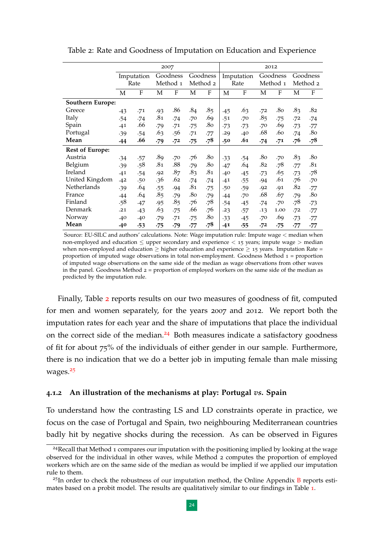|                         | 2007  |            |            |                 |            | 2012            |            |       |                 |      |            |              |
|-------------------------|-------|------------|------------|-----------------|------------|-----------------|------------|-------|-----------------|------|------------|--------------|
|                         |       | Imputation | Goodness   |                 | Goodness   |                 | Imputation |       | Goodness        |      | Goodness   |              |
|                         | Rate  |            | Method 1   |                 | Method 2   |                 | Rate       |       | Method 1        |      | Method 2   |              |
|                         | M     | F          | М          | F               | M          | F               | М          | F     | M               | F    | M          | $\mathbf{F}$ |
| <b>Southern Europe:</b> |       |            |            |                 |            |                 |            |       |                 |      |            |              |
| Greece                  | $-43$ | .71        | .93        | .86             | .84        | .85             | .45        | .63   | .72             | .80  | .83        | .82          |
| Italy                   | .54   | .74        | .81        | .74             | .70        | .69             | .51        | .70   | .8 <sub>5</sub> | .75  | .72        | .74          |
| Spain                   | .41   | .66        | .79        | .71             | .75        | .80             | $-73$      | $-73$ | .70             | .69  | -73        | -77          |
| Portugal                | .39   | .54        | .63        | .56             | .71        | .77             | .29        | .40   | .68             | .60  | .74        | .80          |
| Mean                    | .44   | .66        | .79        | .72             | $\cdot 75$ | .78             | .50        | .61   | $-74$           | .71  | .76        | .78          |
| <b>Rest of Europe:</b>  |       |            |            |                 |            |                 |            |       |                 |      |            |              |
| Austria                 | $-34$ | .57        | .89        | .70             | .76        | .80             | $-33$      | .54   | .80             | .70  | .83        | .80          |
| Belgium                 | .39   | .58        | .81        | .88             | .79        | .8 <sub>0</sub> | .47        | .64   | .82             | .78  | .77        | .81          |
| Ireland                 | .41   | .54        | .92        | .87             | .83        | .81             | .40        | $-45$ | $-73$           | .65  | $-73$      | .78          |
| United Kingdom          | .42   | .50        | .36        | .62             | .74        | .74             | .41        | .55   | .94             | .61  | .76        | .70          |
| Netherlands             | .39   | .64        | .55        | .94             | .81        | .75             | .50        | .59   | .92             | .91  | .82        | .77          |
| France                  | .44   | .64        | .85        | .79             | .80        | .79             | .44        | .70   | .68             | .67  | .79        | .80          |
| Finland                 | .58   | .47        | .95        | .8 <sub>5</sub> | .76        | .78             | .54        | $-45$ | -74             | .70  | .78        | $-73$        |
| Denmark                 | .21   | $-43$      | .63        | .75             | .66        | .76             | .23        | .57   | .13             | 1.00 | .72        | -77          |
| Norway                  | .40   | .40        | .79        | .71             | .75        | .80             | $-33$      | $-45$ | .70             | .69  | $-73$      | -77          |
| Mean                    | .40   | $-53$      | $\cdot 75$ | .79             | $\cdot 77$ | .78             | .41        | .55   | .72             | -75  | $\cdot 77$ | $\cdot 77$   |

<span id="page-23-0"></span>Table 2: Rate and Goodness of Imputation on Education and Experience

Source: EU-SILC and authors' calculations. Note: Wage imputation rule: Impute wage < median when non-employed and education  $\leq$  upper secondary and experience  $<$  15 years; impute wage  $>$  median when non-employed and education  $\geq$  higher education and experience  $\geq$  15 years. Imputation Rate = proportion of imputed wage observations in total non-employment. Goodness Method 1 = proportion of imputed wage observations on the same side of the median as wage observations from other waves in the panel. Goodness Method  $2 =$  proportion of employed workers on the same side of the median as predicted by the imputation rule.

Finally, Table [2](#page-23-0) reports results on our two measures of goodness of fit, computed for men and women separately, for the years 2007 and 2012. We report both the imputation rates for each year and the share of imputations that place the individual on the correct side of the median.<sup>[24](#page-23-1)</sup> Both measures indicate a satisfactory goodness of fit for about 75% of the individuals of either gender in our sample. Furthermore, there is no indication that we do a better job in imputing female than male missing wages.<sup>[25](#page-23-2)</sup>

#### **4.1.2 An illustration of the mechanisms at play: Portugal** *vs***. Spain**

To understand how the contrasting LS and LD constraints operate in practice, we focus on the case of Portugal and Spain, two neighbouring Mediterranean countries badly hit by negative shocks during the recession. As can be observed in Figures

<span id="page-23-1"></span><sup>&</sup>lt;sup>24</sup>Recall that Method 1 compares our imputation with the positioning implied by looking at the wage observed for the individual in other waves, while Method 2 computes the proportion of employed workers which are on the same side of the median as would be implied if we applied our imputation rule to them.

<span id="page-23-2"></span> $^{25}$ In order to check the robustness of our imputation method, the Online Appendix [B](#page--1-2) reports estimates based on a probit model. The results are qualitatively similar to our findings in Table [1](#page-21-0).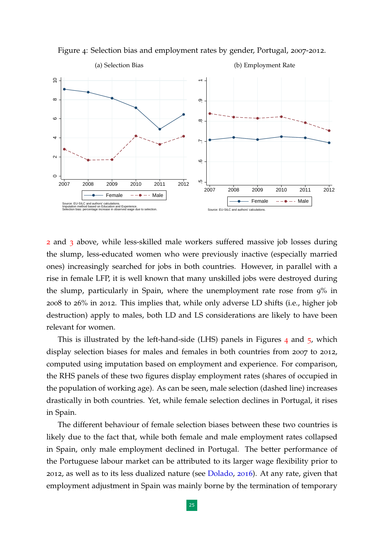

<span id="page-24-0"></span>Figure 4: Selection bias and employment rates by gender, Portugal, 2007-2012.

[2](#page-17-2) and [3](#page-18-4) above, while less-skilled male workers suffered massive job losses during the slump, less-educated women who were previously inactive (especially married ones) increasingly searched for jobs in both countries. However, in parallel with a rise in female LFP, it is well known that many unskilled jobs were destroyed during the slump, particularly in Spain, where the unemployment rate rose from 9% in 2008 to 26% in 2012. This implies that, while only adverse LD shifts (i.e., higher job destruction) apply to males, both LD and LS considerations are likely to have been relevant for women.

This is illustrated by the left-hand-side (LHS) panels in Figures [4](#page-24-0) and [5](#page-25-0), which display selection biases for males and females in both countries from 2007 to 2012, computed using imputation based on employment and experience. For comparison, the RHS panels of these two figures display employment rates (shares of occupied in the population of working age). As can be seen, male selection (dashed line) increases drastically in both countries. Yet, while female selection declines in Portugal, it rises in Spain.

The different behaviour of female selection biases between these two countries is likely due to the fact that, while both female and male employment rates collapsed in Spain, only male employment declined in Portugal. The better performance of the Portuguese labour market can be attributed to its larger wage flexibility prior to 2012, as well as to its less dualized nature (see [Dolado,](#page-34-9) [2016](#page-34-9)). At any rate, given that employment adjustment in Spain was mainly borne by the termination of temporary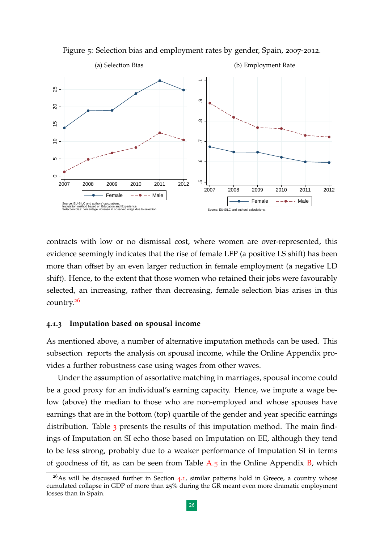<span id="page-25-0"></span>

Figure 5: Selection bias and employment rates by gender, Spain, 2007-2012.

contracts with low or no dismissal cost, where women are over-represented, this evidence seemingly indicates that the rise of female LFP (a positive LS shift) has been more than offset by an even larger reduction in female employment (a negative LD shift). Hence, to the extent that those women who retained their jobs were favourably selected, an increasing, rather than decreasing, female selection bias arises in this country.[26](#page-25-1)

#### **4.1.3 Imputation based on spousal income**

As mentioned above, a number of alternative imputation methods can be used. This subsection reports the analysis on spousal income, while the Online Appendix provides a further robustness case using wages from other waves.

Under the assumption of assortative matching in marriages, spousal income could be a good proxy for an individual's earning capacity. Hence, we impute a wage below (above) the median to those who are non-employed and whose spouses have earnings that are in the bottom (top) quartile of the gender and year specific earnings distribution. Table [3](#page-26-0) presents the results of this imputation method. The main findings of Imputation on SI echo those based on Imputation on EE, although they tend to be less strong, probably due to a weaker performance of Imputation SI in terms of goodness of fit, as can be seen from Table  $A.5$  $A.5$  in the Online Appendix  $B$ , which

<span id="page-25-1"></span> $26$ As will be discussed further in Section [4](#page-20-1).1, similar patterns hold in Greece, a country whose cumulated collapse in GDP of more than 25% during the GR meant even more dramatic employment losses than in Spain.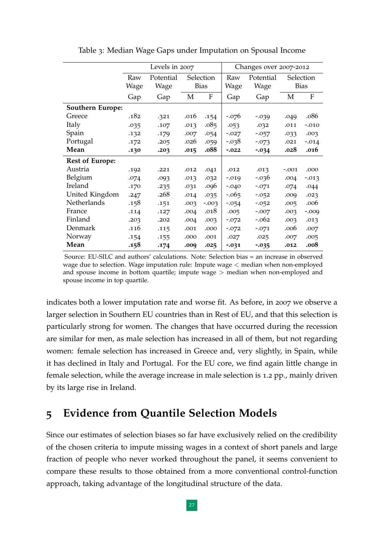<span id="page-26-0"></span>

|                         |      | Levels in 2007 |      |             | Changes over 2007-2012 |           |         |                           |  |
|-------------------------|------|----------------|------|-------------|------------------------|-----------|---------|---------------------------|--|
|                         | Raw  | Potential      |      | Selection   | Raw                    | Potential |         | Selection                 |  |
|                         | Wage | Wage           |      | <b>Bias</b> | Wage                   | Wage      |         | <b>Bias</b>               |  |
|                         | Gap  | Gap            | M    | F           | Gap                    | Gap       | M       | $\boldsymbol{\mathrm{F}}$ |  |
| <b>Southern Europe:</b> |      |                |      |             |                        |           |         |                           |  |
| Greece                  | .182 | .321           | .016 | .154        | $-0.076$               | $-0.039$  | .049    | .086                      |  |
| Italy                   | .035 | .107           | .013 | .085        | .053                   | .032      | .011    | $-.010$                   |  |
| Spain                   | .132 | .179           | .007 | .054        | $-0.027$               | $-0.057$  | .033    | .003                      |  |
| Portugal                | .172 | .205           | .026 | .059        | $-0.038$               | $-073$    | .021    | $-0.014$                  |  |
| Mean                    | .130 | .203           | .015 | .088        | $-.022$                | $-0.034$  | .028    | .016                      |  |
| <b>Rest of Europe:</b>  |      |                |      |             |                        |           |         |                           |  |
| Austria                 | .192 | .221           | .012 | .041        | .012                   | .013      | $-.001$ | .000                      |  |
| Belgium                 | .074 | .093           | .013 | .032        | $-0.019$               | $-0.036$  | .004    | $-0.013$                  |  |
| Ireland                 | .170 | .235           | .031 | .096        | $-0.040$               | $-071$    | .074    | .044                      |  |
| United Kingdom          | .247 | .268           | .014 | .035        | $-0.065$               | $-0.052$  | .009    | .023                      |  |
| Netherlands             | .158 | .151           | .003 | $-.003$     | $-0.54$                | $-0.052$  | .005    | .006                      |  |
| France                  | .114 | .127           | .004 | .018        | .005                   | $-.007$   | .003    | $-0.009$                  |  |
| Finland                 | .203 | .202           | .004 | .003        | $-072$                 | $-.062$   | .003    | .013                      |  |
| Denmark                 | .116 | .115           | .001 | .000        | $-072$                 | $-.071$   | .006    | .007                      |  |
| Norway                  | .154 | .155           | .000 | .001        | .027                   | .025      | .007    | .005                      |  |
| Mean                    | .158 | .174           | .009 | .025        | $-0.031$               | $-0.035$  | .012    | .008                      |  |

Table 3: Median Wage Gaps under Imputation on Spousal Income

Source: EU-SILC and authors' calculations. Note: Selection bias = an increase in observed wage due to selection. Wage imputation rule: Impute wage < median when non-employed and spouse income in bottom quartile; impute wage  $>$  median when non-employed and spouse income in top quartile.

indicates both a lower imputation rate and worse fit. As before, in 2007 we observe a larger selection in Southern EU countries than in Rest of EU, and that this selection is particularly strong for women. The changes that have occurred during the recession are similar for men, as male selection has increased in all of them, but not regarding women: female selection has increased in Greece and, very slightly, in Spain, while it has declined in Italy and Portugal. For the EU core, we find again little change in female selection, while the average increase in male selection is 1.2 pp., mainly driven by its large rise in Ireland.

# **5 Evidence from Quantile Selection Models**

Since our estimates of selection biases so far have exclusively relied on the credibility of the chosen criteria to impute missing wages in a context of short panels and large fraction of people who never worked throughout the panel, it seems convenient to compare these results to those obtained from a more conventional control-function approach, taking advantage of the longitudinal structure of the data.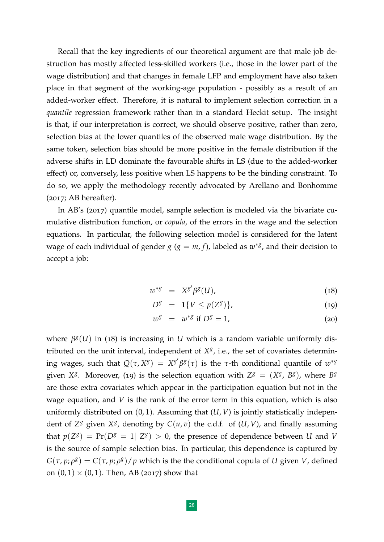Recall that the key ingredients of our theoretical argument are that male job destruction has mostly affected less-skilled workers (i.e., those in the lower part of the wage distribution) and that changes in female LFP and employment have also taken place in that segment of the working-age population - possibly as a result of an added-worker effect. Therefore, it is natural to implement selection correction in a *quantile* regression framework rather than in a standard Heckit setup. The insight is that, if our interpretation is correct, we should observe positive, rather than zero, selection bias at the lower quantiles of the observed male wage distribution. By the same token, selection bias should be more positive in the female distribution if the adverse shifts in LD dominate the favourable shifts in LS (due to the added-worker effect) or, conversely, less positive when LS happens to be the binding constraint. To do so, we apply the methodology recently advocated by Arellano and Bonhomme (2017; AB hereafter).

In AB's (2017) quantile model, sample selection is modeled via the bivariate cumulative distribution function, or *copula*, of the errors in the wage and the selection equations. In particular, the following selection model is considered for the latent wage of each individual of gender  $g$  ( $g = m, f$ ), labeled as  $w^{*g}$ , and their decision to accept a job:

$$
w^{*g} = X^{g'}\beta^g(U), \qquad (18)
$$

$$
D^g = \mathbf{1}\{V \le p(Z^g)\},\tag{19}
$$

$$
w^g = w^{*g} \text{ if } D^g = 1,
$$
 (20)

where  $\beta^{g}(U)$  in (18) is increasing in *U* which is a random variable uniformly distributed on the unit interval, independent of  $X^g$ , i.e., the set of covariates determining wages, such that  $Q(\tau, X^g) = X^{g'}\beta^g(\tau)$  is the  $\tau$ -th conditional quantile of  $w^{*g}$ given *X<sup>g</sup>*. Moreover, (19) is the selection equation with  $Z^g = (X^g, B^g)$ , where  $B^g$ are those extra covariates which appear in the participation equation but not in the wage equation, and *V* is the rank of the error term in this equation, which is also uniformly distributed on  $(0, 1)$ . Assuming that  $(U, V)$  is jointly statistically independent of  $Z^g$  given  $X^g$ , denoting by  $C(u, v)$  the c.d.f. of  $(U, V)$ , and finally assuming that  $p(Z^g) = Pr(D^g = 1 | Z^g) > 0$ , the presence of dependence between *U* and *V* is the source of sample selection bias. In particular, this dependence is captured by  $G(\tau, p; \rho^g) = C(\tau, p; \rho^g)/p$  which is the the conditional copula of *U* given *V*, defined on  $(0, 1) \times (0, 1)$ . Then, AB (2017) show that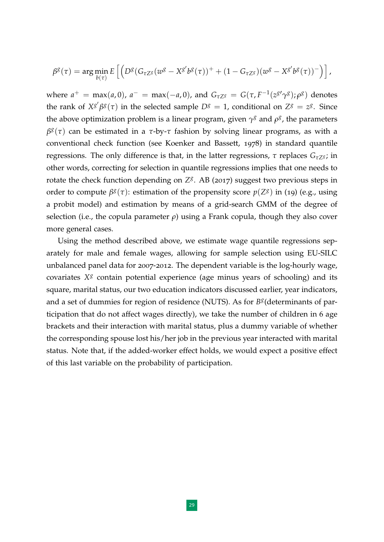$$
\beta^g(\tau) = \arg\min_{b(\tau)} E\left[ \left( D^g(G_{\tau Z^g}(w^g - X^{g'}b^g(\tau))^+ + (1 - G_{\tau Z^g})(w^g - X^{g'}b^g(\tau))^-\right) \right],
$$

where  $a^+ = \max(a, 0)$ ,  $a^- = \max(-a, 0)$ , and  $G_{\tau Z^g} = G(\tau, F^{-1}(z^{g\prime}\gamma^g); \rho^g)$  denotes the rank of  $X^{g'}\beta^g(\tau)$  in the selected sample  $D^g = 1$ , conditional on  $Z^g = z^g$ . Since the above optimization problem is a linear program, given  $\gamma^g$  and  $\rho^g$ , the parameters *β g* (*τ*) can be estimated in a *τ*-by-*τ* fashion by solving linear programs, as with a conventional check function (see Koenker and Bassett, 1978) in standard quantile regressions. The only difference is that, in the latter regressions, *τ* replaces  $G_{\tau Zg}$ ; in other words, correcting for selection in quantile regressions implies that one needs to rotate the check function depending on  $Z^g$ . AB (2017) suggest two previous steps in order to compute  $\beta^g(\tau)$ : estimation of the propensity score  $p(Z^g)$  in (19) (e.g., using a probit model) and estimation by means of a grid-search GMM of the degree of selection (i.e., the copula parameter  $\rho$ ) using a Frank copula, though they also cover more general cases.

Using the method described above, we estimate wage quantile regressions separately for male and female wages, allowing for sample selection using EU-SILC unbalanced panel data for 2007-2012. The dependent variable is the log-hourly wage, covariates *X<sup>8</sup>* contain potential experience (age minus years of schooling) and its square, marital status, our two education indicators discussed earlier, year indicators, and a set of dummies for region of residence (NUTS). As for  $B<sup>g</sup>$  (determinants of participation that do not affect wages directly), we take the number of children in 6 age brackets and their interaction with marital status, plus a dummy variable of whether the corresponding spouse lost his/her job in the previous year interacted with marital status. Note that, if the added-worker effect holds, we would expect a positive effect of this last variable on the probability of participation.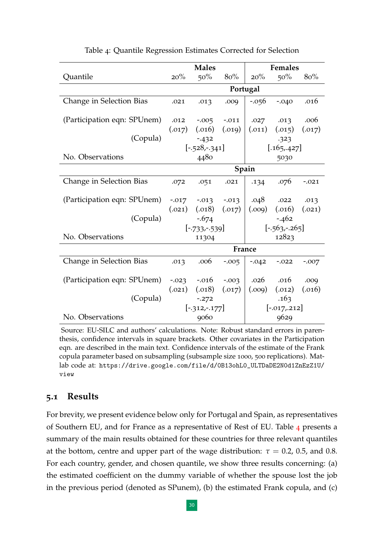<span id="page-29-0"></span>

|                             | <b>Males</b> |                   |          | Females         |                 |         |  |  |
|-----------------------------|--------------|-------------------|----------|-----------------|-----------------|---------|--|--|
| <b>Quantile</b>             | 20%          | 50%               | 80%      | 20%             | 50%             | 80%     |  |  |
|                             | Portugal     |                   |          |                 |                 |         |  |  |
| Change in Selection Bias    | .021         | .013              | .009     | $-0.056$        | $-.040$         | .016    |  |  |
| (Participation eqn: SPUnem) | .012         | $-0.005$          | $-.011$  | .027            | .013            | .006    |  |  |
|                             | (.017)       | (.016)            | (.019)   | (.011)          | (.015)          | (.017)  |  |  |
| (Copula)                    |              | $-432$            |          | .323            |                 |         |  |  |
|                             |              | $[-.528,-.341]$   |          | [.165, .427]    |                 |         |  |  |
| No. Observations            |              | 4480              |          |                 | 5030            |         |  |  |
|                             | Spain        |                   |          |                 |                 |         |  |  |
| Change in Selection Bias    | .072         | .051              | .021     | .134            | .076            | $-.021$ |  |  |
| (Participation eqn: SPUnem) |              | $-0.017 - 0.013$  | $-0.013$ | .048            | .022            | .013    |  |  |
|                             | (.021)       | (.018)            | (.017)   | (0.009)         | (.016)          | (.021)  |  |  |
| (Copula)                    |              | $-674$            |          |                 | $-.462$         |         |  |  |
|                             |              | $[-.733,-.539]$   |          |                 | $[-.563,-.265]$ |         |  |  |
| No. Observations            | 11304        |                   |          | 12823           |                 |         |  |  |
|                             |              |                   | France   |                 |                 |         |  |  |
| Change in Selection Bias    | .013         | .006              | $-0.005$ | $-.042$         | $-.022$         | $-.007$ |  |  |
| (Participation eqn: SPUnem) | $-0.023$     | $-.016$           | $-0.003$ | .026            | .016            | .009    |  |  |
|                             |              | $(.021)$ $(.018)$ | (.017)   | (0.009)         | (.012)          | (.016)  |  |  |
| (Copula)                    | $-0.272$     |                   |          | .163            |                 |         |  |  |
|                             |              | $[-312,-177]$     |          | $[-.017, .212]$ |                 |         |  |  |
| No. Observations            |              | 9060              |          | 9629            |                 |         |  |  |

Table 4: Quantile Regression Estimates Corrected for Selection

Source: EU-SILC and authors' calculations. Note: Robust standard errors in parenthesis, confidence intervals in square brackets. Other covariates in the Participation eqn. are described in the main text. Confidence intervals of the estimate of the Frank copula parameter based on subsampling (subsample size 1000, 500 replications). Matlab code at: [https://drive.google.com/file/d/0B13ohL0\\_ULTDaDE2N0d1ZnEzZ1U/](https://drive.google.com/file/d/0B13ohL0_ULTDaDE2N0d1ZnEzZ1U/view) [view](https://drive.google.com/file/d/0B13ohL0_ULTDaDE2N0d1ZnEzZ1U/view)

#### **5.1 Results**

For brevity, we present evidence below only for Portugal and Spain, as representatives of Southern EU, and for France as a representative of Rest of EU. Table [4](#page-29-0) presents a summary of the main results obtained for these countries for three relevant quantiles at the bottom, centre and upper part of the wage distribution:  $\tau = 0.2$ , 0.5, and 0.8. For each country, gender, and chosen quantile, we show three results concerning: (a) the estimated coefficient on the dummy variable of whether the spouse lost the job in the previous period (denoted as SPunem), (b) the estimated Frank copula, and (c)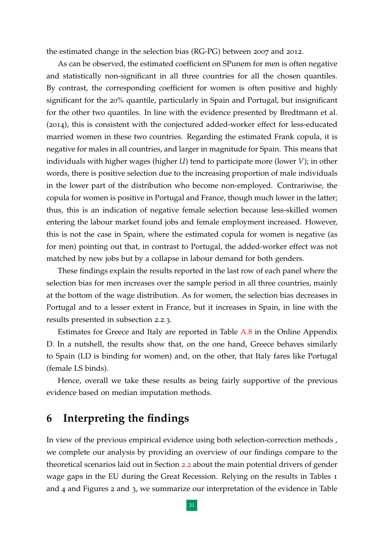the estimated change in the selection bias (RG-PG) between 2007 and 2012.

As can be observed, the estimated coefficient on SPunem for men is often negative and statistically non-significant in all three countries for all the chosen quantiles. By contrast, the corresponding coefficient for women is often positive and highly significant for the 20% quantile, particularly in Spain and Portugal, but insignificant for the other two quantiles. In line with the evidence presented by Bredtmann et al. (2014), this is consistent with the conjectured added-worker effect for less-educated married women in these two countries. Regarding the estimated Frank copula, it is negative for males in all countries, and larger in magnitude for Spain. This means that individuals with higher wages (higher *U*) tend to participate more (lower *V*); in other words, there is positive selection due to the increasing proportion of male individuals in the lower part of the distribution who become non-employed. Contrariwise, the copula for women is positive in Portugal and France, though much lower in the latter; thus, this is an indication of negative female selection because less-skilled women entering the labour market found jobs and female employment increased. However, this is not the case in Spain, where the estimated copula for women is negative (as for men) pointing out that, in contrast to Portugal, the added-worker effect was not matched by new jobs but by a collapse in labour demand for both genders.

These findings explain the results reported in the last row of each panel where the selection bias for men increases over the sample period in all three countries, mainly at the bottom of the wage distribution. As for women, the selection bias decreases in Portugal and to a lesser extent in France, but it increases in Spain, in line with the results presented in subsection 2.2.3.

Estimates for Greece and Italy are reported in Table [A.](#page--1-4)8 in the Online Appendix D. In a nutshell, the results show that, on the one hand, Greece behaves similarly to Spain (LD is binding for women) and, on the other, that Italy fares like Portugal (female LS binds).

Hence, overall we take these results as being fairly supportive of the previous evidence based on median imputation methods.

# **6 Interpreting the findings**

In view of the previous empirical evidence using both selection-correction methods , we complete our analysis by providing an overview of our findings compare to the theoretical scenarios laid out in Section [2](#page-13-0).2 about the main potential drivers of gender wage gaps in the EU during the Great Recession. Relying on the results in Tables 1 and 4 and Figures 2 and 3, we summarize our interpretation of the evidence in Table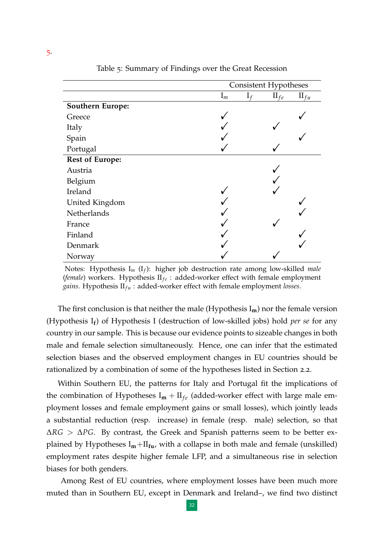<span id="page-31-0"></span>

|                         | <b>Consistent Hypotheses</b> |       |            |            |  |  |
|-------------------------|------------------------------|-------|------------|------------|--|--|
|                         | $I_m$                        | $I_f$ | $\Pi_{fe}$ | $\Pi_{fu}$ |  |  |
| <b>Southern Europe:</b> |                              |       |            |            |  |  |
| Greece                  |                              |       |            |            |  |  |
| Italy                   |                              |       |            |            |  |  |
| Spain                   |                              |       |            |            |  |  |
| Portugal                |                              |       |            |            |  |  |
| <b>Rest of Europe:</b>  |                              |       |            |            |  |  |
| Austria                 |                              |       |            |            |  |  |
| Belgium                 |                              |       |            |            |  |  |
| Ireland                 |                              |       |            |            |  |  |
| United Kingdom          |                              |       |            |            |  |  |
| Netherlands             |                              |       |            |            |  |  |
| France                  |                              |       |            |            |  |  |
| Finland                 |                              |       |            |            |  |  |
| Denmark                 |                              |       |            |            |  |  |
| Norway                  |                              |       |            |            |  |  |

Table 5: Summary of Findings over the Great Recession

Notes: Hypothesis I*<sup>m</sup>* (I*<sup>f</sup>* ): higher job destruction rate among low-skilled *male* (*female*) workers. Hypothesis II<sub>fe</sub>: added-worker effect with female employment *gains*. Hypothesis  $II_{fu}$  : added-worker effect with female employment *losses*.

The first conclusion is that neither the male (Hypothesis I**m**) nor the female version (Hypothesis I**<sup>f</sup>** ) of Hypothesis I (destruction of low-skilled jobs) hold *per se* for any country in our sample. This is because our evidence points to sizeable changes in both male and female selection simultaneously. Hence, one can infer that the estimated selection biases and the observed employment changes in EU countries should be rationalized by a combination of some of the hypotheses listed in Section 2.2.

Within Southern EU, the patterns for Italy and Portugal fit the implications of the combination of Hypotheses  $I_m + II_{fe}$  (added-worker effect with large male employment losses and female employment gains or small losses), which jointly leads a substantial reduction (resp. increase) in female (resp. male) selection, so that ∆*RG* > ∆*PG*. By contrast, the Greek and Spanish patterns seem to be better explained by Hypotheses  $I_m + II_{fu}$ , with a collapse in both male and female (unskilled) employment rates despite higher female LFP, and a simultaneous rise in selection biases for both genders.

Among Rest of EU countries, where employment losses have been much more muted than in Southern EU, except in Denmark and Ireland–, we find two distinct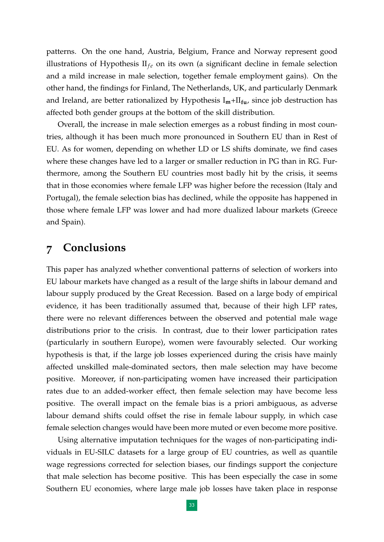patterns. On the one hand, Austria, Belgium, France and Norway represent good illustrations of Hypothesis  $II_{fe}$  on its own (a significant decline in female selection and a mild increase in male selection, together female employment gains). On the other hand, the findings for Finland, The Netherlands, UK, and particularly Denmark and Ireland, are better rationalized by Hypothesis I**m**+II**fu**, since job destruction has affected both gender groups at the bottom of the skill distribution.

Overall, the increase in male selection emerges as a robust finding in most countries, although it has been much more pronounced in Southern EU than in Rest of EU. As for women, depending on whether LD or LS shifts dominate, we find cases where these changes have led to a larger or smaller reduction in PG than in RG. Furthermore, among the Southern EU countries most badly hit by the crisis, it seems that in those economies where female LFP was higher before the recession (Italy and Portugal), the female selection bias has declined, while the opposite has happened in those where female LFP was lower and had more dualized labour markets (Greece and Spain).

# **7 Conclusions**

This paper has analyzed whether conventional patterns of selection of workers into EU labour markets have changed as a result of the large shifts in labour demand and labour supply produced by the Great Recession. Based on a large body of empirical evidence, it has been traditionally assumed that, because of their high LFP rates, there were no relevant differences between the observed and potential male wage distributions prior to the crisis. In contrast, due to their lower participation rates (particularly in southern Europe), women were favourably selected. Our working hypothesis is that, if the large job losses experienced during the crisis have mainly affected unskilled male-dominated sectors, then male selection may have become positive. Moreover, if non-participating women have increased their participation rates due to an added-worker effect, then female selection may have become less positive. The overall impact on the female bias is a priori ambiguous, as adverse labour demand shifts could offset the rise in female labour supply, in which case female selection changes would have been more muted or even become more positive.

Using alternative imputation techniques for the wages of non-participating individuals in EU-SILC datasets for a large group of EU countries, as well as quantile wage regressions corrected for selection biases, our findings support the conjecture that male selection has become positive. This has been especially the case in some Southern EU economies, where large male job losses have taken place in response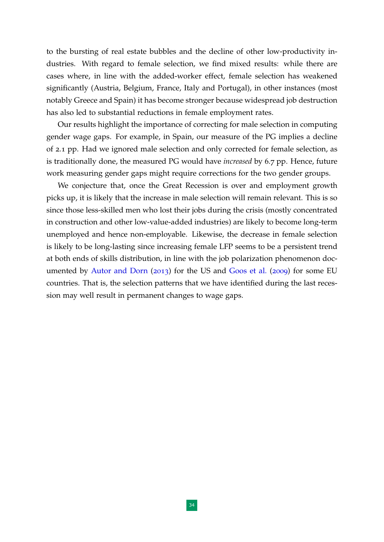to the bursting of real estate bubbles and the decline of other low-productivity industries. With regard to female selection, we find mixed results: while there are cases where, in line with the added-worker effect, female selection has weakened significantly (Austria, Belgium, France, Italy and Portugal), in other instances (most notably Greece and Spain) it has become stronger because widespread job destruction has also led to substantial reductions in female employment rates.

Our results highlight the importance of correcting for male selection in computing gender wage gaps. For example, in Spain, our measure of the PG implies a decline of 2.1 pp. Had we ignored male selection and only corrected for female selection, as is traditionally done, the measured PG would have *increased* by 6.7 pp. Hence, future work measuring gender gaps might require corrections for the two gender groups.

We conjecture that, once the Great Recession is over and employment growth picks up, it is likely that the increase in male selection will remain relevant. This is so since those less-skilled men who lost their jobs during the crisis (mostly concentrated in construction and other low-value-added industries) are likely to become long-term unemployed and hence non-employable. Likewise, the decrease in female selection is likely to be long-lasting since increasing female LFP seems to be a persistent trend at both ends of skills distribution, in line with the job polarization phenomenon documented by [Autor and Dorn](#page-34-10) ([2013](#page-34-10)) for the US and [Goos et al.](#page-35-12) ([2009](#page-35-12)) for some EU countries. That is, the selection patterns that we have identified during the last recession may well result in permanent changes to wage gaps.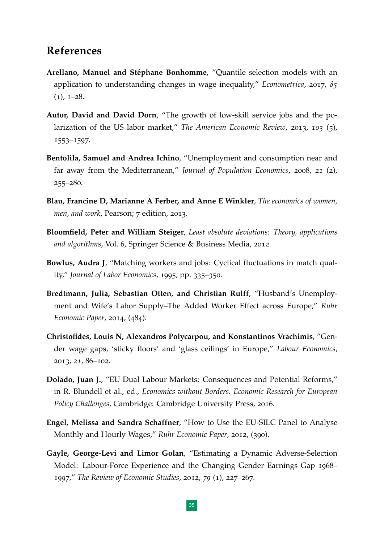# **References**

- <span id="page-34-0"></span>**Arellano, Manuel and Stéphane Bonhomme, "Quantile selection models with an** application to understanding changes in wage inequality," *Econometrica*, 2017, *85*  $(1)$ ,  $1-28$ .
- <span id="page-34-10"></span>**Autor, David and David Dorn**, "The growth of low-skill service jobs and the polarization of the US labor market," *The American Economic Review*, 2013, *103* (5), 1553–1597.
- <span id="page-34-1"></span>**Bentolila, Samuel and Andrea Ichino**, "Unemployment and consumption near and far away from the Mediterranean," *Journal of Population Economics*, 2008, *21* (2), 255–280.
- <span id="page-34-3"></span>**Blau, Francine D, Marianne A Ferber, and Anne E Winkler**, *The economics of women, men, and work*, Pearson; 7 edition, 2013.
- <span id="page-34-8"></span>**Bloomfield, Peter and William Steiger**, *Least absolute deviations: Theory, applications and algorithms*, Vol. 6, Springer Science & Business Media, 2012.
- <span id="page-34-4"></span>**Bowlus, Audra J**, "Matching workers and jobs: Cyclical fluctuations in match quality," *Journal of Labor Economics*, 1995, pp. 335–350.
- <span id="page-34-2"></span>**Bredtmann, Julia, Sebastian Otten, and Christian Rulff**, "Husband's Unemployment and Wife's Labor Supply–The Added Worker Effect across Europe," *Ruhr Economic Paper*, 2014, (484).
- <span id="page-34-7"></span>**Christofides, Louis N, Alexandros Polycarpou, and Konstantinos Vrachimis**, "Gender wage gaps, 'sticky floors' and 'glass ceilings' in Europe," *Labour Economics*, 2013, *21*, 86–102.
- <span id="page-34-9"></span>**Dolado, Juan J.,** "EU Dual Labour Markets: Consequences and Potential Reforms," in R. Blundell et al., ed., *Economics without Borders. Economic Research for European Policy Challenges*, Cambridge: Cambridge University Press, 2016.
- <span id="page-34-6"></span>**Engel, Melissa and Sandra Schaffner**, "How to Use the EU-SILC Panel to Analyse Monthly and Hourly Wages," *Ruhr Economic Paper*, 2012, (390).
- <span id="page-34-5"></span>**Gayle, George-Levi and Limor Golan**, "Estimating a Dynamic Adverse-Selection Model: Labour-Force Experience and the Changing Gender Earnings Gap 1968– 1997," *The Review of Economic Studies*, 2012, *79* (1), 227–267.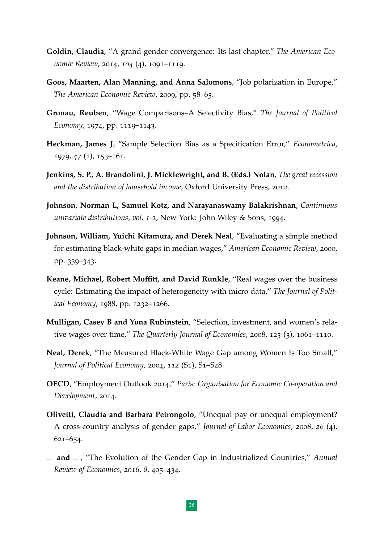- <span id="page-35-7"></span>**Goldin, Claudia**, "A grand gender convergence: Its last chapter," *The American Economic Review*, 2014, *104* (4), 1091–1119.
- <span id="page-35-12"></span>**Goos, Maarten, Alan Manning, and Anna Salomons**, "Job polarization in Europe," *The American Economic Review*, 2009, pp. 58–63.
- <span id="page-35-10"></span>**Gronau, Reuben**, "Wage Comparisons–A Selectivity Bias," *The Journal of Political Economy*, 1974, pp. 1119–1143.
- <span id="page-35-3"></span>**Heckman, James J**, "Sample Selection Bias as a Specification Error," *Econometrica*, 1979, *47* (1), 153–161.
- <span id="page-35-1"></span>**Jenkins, S. P., A. Brandolini, J. Micklewright, and B. (Eds.) Nolan**, *The great recession and the distribution of household income*, Oxford University Press, 2012.
- <span id="page-35-11"></span>**Johnson, Norman L, Samuel Kotz, and Narayanaswamy Balakrishnan**, *Continuous univariate distributions, vol. 1-2*, New York: John Wiley & Sons, 1994.
- <span id="page-35-4"></span>**Johnson, William, Yuichi Kitamura, and Derek Neal**, "Evaluating a simple method for estimating black-white gaps in median wages," *American Economic Review*, 2000, pp. 339–343.
- <span id="page-35-8"></span>**Keane, Michael, Robert Moffitt, and David Runkle**, "Real wages over the business cycle: Estimating the impact of heterogeneity with micro data," *The Journal of Political Economy*, 1988, pp. 1232–1266.
- <span id="page-35-6"></span>**Mulligan, Casey B and Yona Rubinstein**, "Selection, investment, and women's relative wages over time," *The Quarterly Journal of Economics*, 2008, *123* (3), 1061–1110.
- <span id="page-35-5"></span>**Neal, Derek**, "The Measured Black-White Wage Gap among Women Is Too Small," *Journal of Political Economy*, 2004, *112* (S1), S1–S28.
- <span id="page-35-0"></span>**OECD**, "Employment Outlook 2014," *Paris: Organisation for Economic Co-operation and Development*, 2014.
- <span id="page-35-2"></span>**Olivetti, Claudia and Barbara Petrongolo**, "Unequal pay or unequal employment? A cross-country analysis of gender gaps," *Journal of Labor Economics*, 2008, *26* (4), 621–654.
- <span id="page-35-9"></span>**and** , "The Evolution of the Gender Gap in Industrialized Countries," *Annual Review of Economics*, 2016, *8*, 405–434.